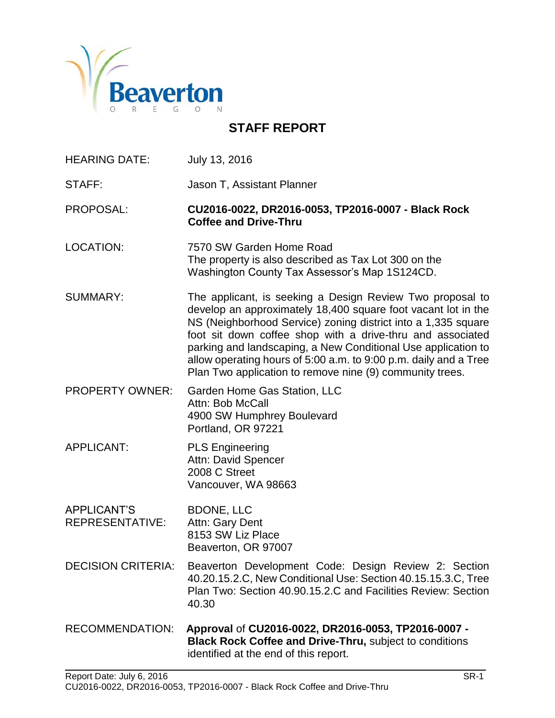

# **STAFF REPORT**

HEARING DATE: July 13, 2016

STAFF: **Jason T, Assistant Planner** 

PROPOSAL: **CU2016-0022, DR2016-0053, TP2016-0007 - Black Rock Coffee and Drive-Thru**

- LOCATION: 7570 SW Garden Home Road The property is also described as Tax Lot 300 on the Washington County Tax Assessor's Map 1S124CD.
- SUMMARY: The applicant, is seeking a Design Review Two proposal to develop an approximately 18,400 square foot vacant lot in the NS (Neighborhood Service) zoning district into a 1,335 square foot sit down coffee shop with a drive-thru and associated parking and landscaping, a New Conditional Use application to allow operating hours of 5:00 a.m. to 9:00 p.m. daily and a Tree Plan Two application to remove nine (9) community trees.
- PROPERTY OWNER: Garden Home Gas Station, LLC Attn: Bob McCall 4900 SW Humphrey Boulevard Portland, OR 97221
- APPLICANT: PLS Engineering Attn: David Spencer 2008 C Street Vancouver, WA 98663
- APPLICANT'S BDONE, LLC REPRESENTATIVE: Attn: Gary Dent 8153 SW Liz Place Beaverton, OR 97007
- DECISION CRITERIA: Beaverton Development Code: Design Review 2: Section 40.20.15.2.C, New Conditional Use: Section 40.15.15.3.C, Tree Plan Two: Section 40.90.15.2.C and Facilities Review: Section 40.30
- RECOMMENDATION: **Approval** of **CU2016-0022, DR2016-0053, TP2016-0007 - Black Rock Coffee and Drive-Thru,** subject to conditions identified at the end of this report.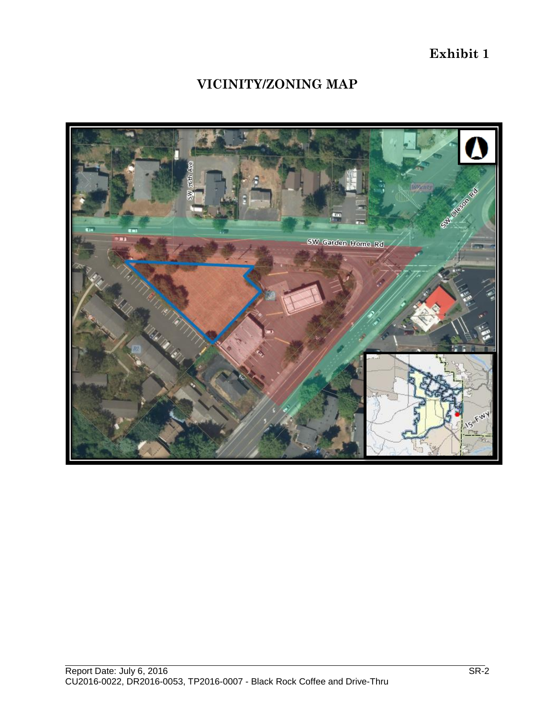**Exhibit 1**

# **VICINITY/ZONING MAP**

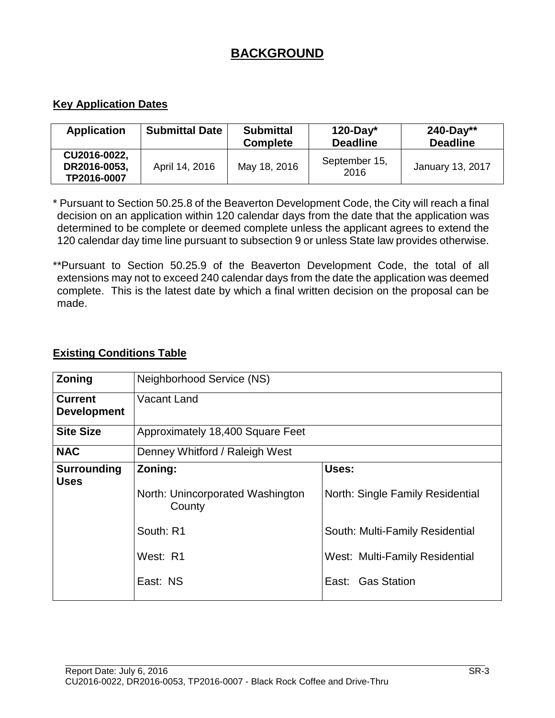# **BACKGROUND**

### **Key Application Dates**

| <b>Application</b>                          | <b>Submittal Date</b> | <b>Submittal</b><br><b>Complete</b> | $120$ -Day*<br><b>Deadline</b> | $240 - Day**$<br><b>Deadline</b> |
|---------------------------------------------|-----------------------|-------------------------------------|--------------------------------|----------------------------------|
| CU2016-0022,<br>DR2016-0053,<br>TP2016-0007 | April 14, 2016        | May 18, 2016                        | September 15,<br>2016          | <b>January 13, 2017</b>          |

\* Pursuant to Section 50.25.8 of the Beaverton Development Code, the City will reach a final decision on an application within 120 calendar days from the date that the application was determined to be complete or deemed complete unless the applicant agrees to extend the 120 calendar day time line pursuant to subsection 9 or unless State law provides otherwise.

\*\*Pursuant to Section 50.25.9 of the Beaverton Development Code, the total of all extensions may not to exceed 240 calendar days from the date the application was deemed complete. This is the latest date by which a final written decision on the proposal can be made.

#### **Existing Conditions Table**

| Zoning             | Neighborhood Service (NS)                  |                                  |  |
|--------------------|--------------------------------------------|----------------------------------|--|
| <b>Current</b>     | Vacant Land                                |                                  |  |
| <b>Development</b> |                                            |                                  |  |
| <b>Site Size</b>   | Approximately 18,400 Square Feet           |                                  |  |
| <b>NAC</b>         | Denney Whitford / Raleigh West             |                                  |  |
| <b>Surrounding</b> | Uses:<br>Zoning:                           |                                  |  |
| <b>Uses</b>        | North: Unincorporated Washington<br>County | North: Single Family Residential |  |
|                    | South: R1                                  | South: Multi-Family Residential  |  |
|                    | West: R1                                   | West: Multi-Family Residential   |  |
|                    | East: NS                                   | East: Gas Station                |  |
|                    |                                            |                                  |  |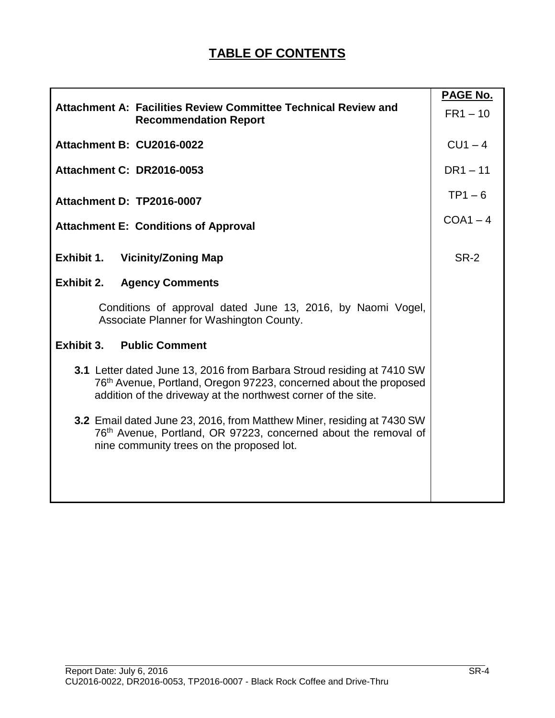|                                                                                                                                                                                                              | PAGE No.    |
|--------------------------------------------------------------------------------------------------------------------------------------------------------------------------------------------------------------|-------------|
| Attachment A: Facilities Review Committee Technical Review and<br><b>Recommendation Report</b>                                                                                                               | $FR1 - 10$  |
| Attachment B: CU2016-0022                                                                                                                                                                                    | $CU1 - 4$   |
| <b>Attachment C: DR2016-0053</b>                                                                                                                                                                             | $DR1 - 11$  |
| Attachment D: TP2016-0007                                                                                                                                                                                    | $TP1 - 6$   |
| <b>Attachment E: Conditions of Approval</b>                                                                                                                                                                  | $COA1 - 4$  |
| Exhibit 1.<br><b>Vicinity/Zoning Map</b>                                                                                                                                                                     | <b>SR-2</b> |
| Exhibit 2.<br><b>Agency Comments</b>                                                                                                                                                                         |             |
| Conditions of approval dated June 13, 2016, by Naomi Vogel,<br>Associate Planner for Washington County.                                                                                                      |             |
| Exhibit 3.<br><b>Public Comment</b>                                                                                                                                                                          |             |
| 3.1 Letter dated June 13, 2016 from Barbara Stroud residing at 7410 SW<br>76th Avenue, Portland, Oregon 97223, concerned about the proposed<br>addition of the driveway at the northwest corner of the site. |             |
| 3.2 Email dated June 23, 2016, from Matthew Miner, residing at 7430 SW<br>76th Avenue, Portland, OR 97223, concerned about the removal of<br>nine community trees on the proposed lot.                       |             |
|                                                                                                                                                                                                              |             |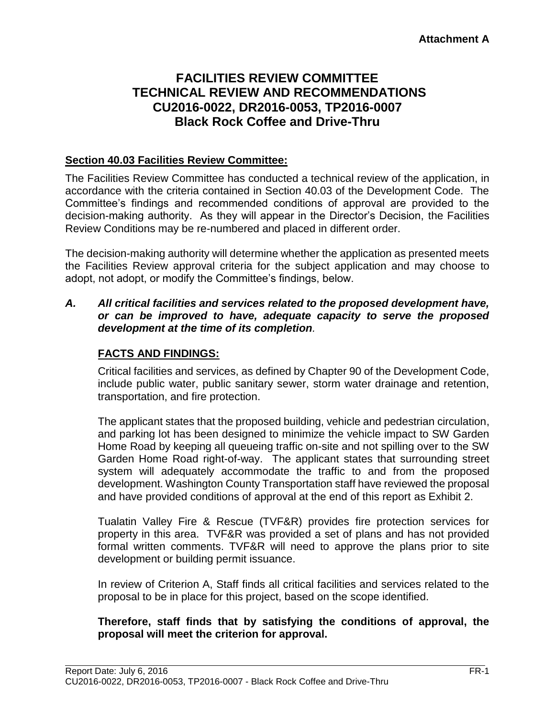# **FACILITIES REVIEW COMMITTEE TECHNICAL REVIEW AND RECOMMENDATIONS CU2016-0022, DR2016-0053, TP2016-0007 Black Rock Coffee and Drive-Thru**

#### **Section 40.03 Facilities Review Committee:**

The Facilities Review Committee has conducted a technical review of the application, in accordance with the criteria contained in Section 40.03 of the Development Code. The Committee's findings and recommended conditions of approval are provided to the decision-making authority. As they will appear in the Director's Decision, the Facilities Review Conditions may be re-numbered and placed in different order.

The decision-making authority will determine whether the application as presented meets the Facilities Review approval criteria for the subject application and may choose to adopt, not adopt, or modify the Committee's findings, below.

#### *A. All critical facilities and services related to the proposed development have, or can be improved to have, adequate capacity to serve the proposed development at the time of its completion.*

#### **FACTS AND FINDINGS:**

Critical facilities and services, as defined by Chapter 90 of the Development Code, include public water, public sanitary sewer, storm water drainage and retention, transportation, and fire protection.

The applicant states that the proposed building, vehicle and pedestrian circulation, and parking lot has been designed to minimize the vehicle impact to SW Garden Home Road by keeping all queueing traffic on-site and not spilling over to the SW Garden Home Road right-of-way. The applicant states that surrounding street system will adequately accommodate the traffic to and from the proposed development. Washington County Transportation staff have reviewed the proposal and have provided conditions of approval at the end of this report as Exhibit 2.

Tualatin Valley Fire & Rescue (TVF&R) provides fire protection services for property in this area. TVF&R was provided a set of plans and has not provided formal written comments. TVF&R will need to approve the plans prior to site development or building permit issuance.

In review of Criterion A, Staff finds all critical facilities and services related to the proposal to be in place for this project, based on the scope identified.

#### **Therefore, staff finds that by satisfying the conditions of approval, the proposal will meet the criterion for approval.**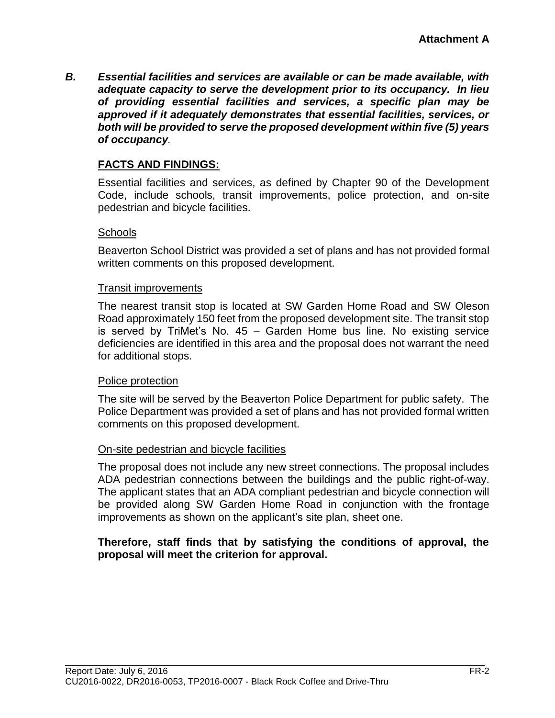*B. Essential facilities and services are available or can be made available, with adequate capacity to serve the development prior to its occupancy. In lieu of providing essential facilities and services, a specific plan may be approved if it adequately demonstrates that essential facilities, services, or both will be provided to serve the proposed development within five (5) years of occupancy.*

#### **FACTS AND FINDINGS:**

Essential facilities and services, as defined by Chapter 90 of the Development Code, include schools, transit improvements, police protection, and on-site pedestrian and bicycle facilities.

#### **Schools**

Beaverton School District was provided a set of plans and has not provided formal written comments on this proposed development.

#### Transit improvements

The nearest transit stop is located at SW Garden Home Road and SW Oleson Road approximately 150 feet from the proposed development site. The transit stop is served by TriMet's No. 45 – Garden Home bus line. No existing service deficiencies are identified in this area and the proposal does not warrant the need for additional stops.

#### Police protection

The site will be served by the Beaverton Police Department for public safety. The Police Department was provided a set of plans and has not provided formal written comments on this proposed development.

#### On-site pedestrian and bicycle facilities

The proposal does not include any new street connections. The proposal includes ADA pedestrian connections between the buildings and the public right-of-way. The applicant states that an ADA compliant pedestrian and bicycle connection will be provided along SW Garden Home Road in conjunction with the frontage improvements as shown on the applicant's site plan, sheet one.

#### **Therefore, staff finds that by satisfying the conditions of approval, the proposal will meet the criterion for approval.**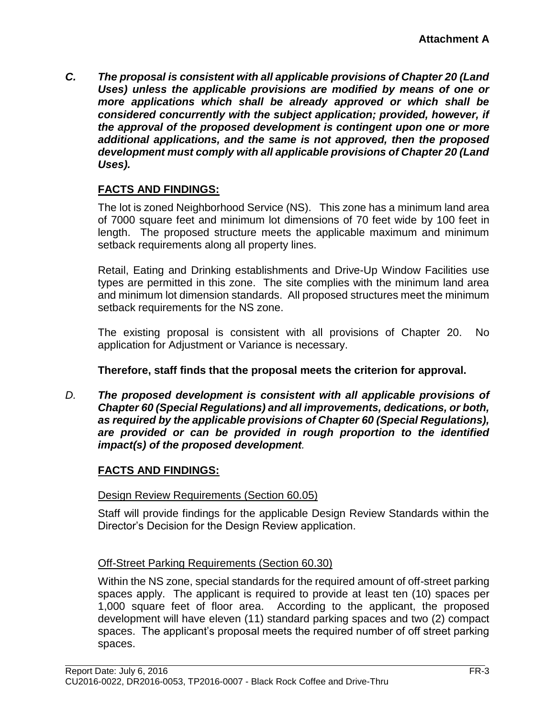*C. The proposal is consistent with all applicable provisions of Chapter 20 (Land Uses) unless the applicable provisions are modified by means of one or more applications which shall be already approved or which shall be considered concurrently with the subject application; provided, however, if the approval of the proposed development is contingent upon one or more additional applications, and the same is not approved, then the proposed development must comply with all applicable provisions of Chapter 20 (Land Uses).*

# **FACTS AND FINDINGS:**

The lot is zoned Neighborhood Service (NS). This zone has a minimum land area of 7000 square feet and minimum lot dimensions of 70 feet wide by 100 feet in length. The proposed structure meets the applicable maximum and minimum setback requirements along all property lines.

Retail, Eating and Drinking establishments and Drive-Up Window Facilities use types are permitted in this zone. The site complies with the minimum land area and minimum lot dimension standards. All proposed structures meet the minimum setback requirements for the NS zone.

The existing proposal is consistent with all provisions of Chapter 20. No application for Adjustment or Variance is necessary.

# **Therefore, staff finds that the proposal meets the criterion for approval.**

*D. The proposed development is consistent with all applicable provisions of Chapter 60 (Special Regulations) and all improvements, dedications, or both, as required by the applicable provisions of Chapter 60 (Special Regulations), are provided or can be provided in rough proportion to the identified impact(s) of the proposed development.*

# **FACTS AND FINDINGS:**

# Design Review Requirements (Section 60.05)

Staff will provide findings for the applicable Design Review Standards within the Director's Decision for the Design Review application.

# Off-Street Parking Requirements (Section 60.30)

Within the NS zone, special standards for the required amount of off-street parking spaces apply. The applicant is required to provide at least ten (10) spaces per 1,000 square feet of floor area. According to the applicant, the proposed development will have eleven (11) standard parking spaces and two (2) compact spaces. The applicant's proposal meets the required number of off street parking spaces.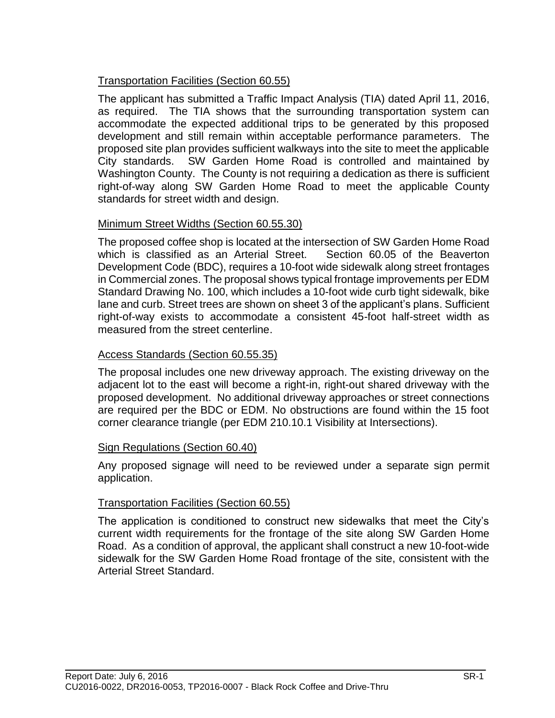# Transportation Facilities (Section 60.55)

The applicant has submitted a Traffic Impact Analysis (TIA) dated April 11, 2016, as required. The TIA shows that the surrounding transportation system can accommodate the expected additional trips to be generated by this proposed development and still remain within acceptable performance parameters. The proposed site plan provides sufficient walkways into the site to meet the applicable City standards. SW Garden Home Road is controlled and maintained by Washington County. The County is not requiring a dedication as there is sufficient right-of-way along SW Garden Home Road to meet the applicable County standards for street width and design.

# Minimum Street Widths (Section 60.55.30)

The proposed coffee shop is located at the intersection of SW Garden Home Road which is classified as an Arterial Street. Section 60.05 of the Beaverton Development Code (BDC), requires a 10-foot wide sidewalk along street frontages in Commercial zones. The proposal shows typical frontage improvements per EDM Standard Drawing No. 100, which includes a 10-foot wide curb tight sidewalk, bike lane and curb. Street trees are shown on sheet 3 of the applicant's plans. Sufficient right-of-way exists to accommodate a consistent 45-foot half-street width as measured from the street centerline.

# Access Standards (Section 60.55.35)

The proposal includes one new driveway approach. The existing driveway on the adjacent lot to the east will become a right-in, right-out shared driveway with the proposed development. No additional driveway approaches or street connections are required per the BDC or EDM. No obstructions are found within the 15 foot corner clearance triangle (per EDM 210.10.1 Visibility at Intersections).

# Sign Regulations (Section 60.40)

Any proposed signage will need to be reviewed under a separate sign permit application.

# Transportation Facilities (Section 60.55)

The application is conditioned to construct new sidewalks that meet the City's current width requirements for the frontage of the site along SW Garden Home Road. As a condition of approval, the applicant shall construct a new 10-foot-wide sidewalk for the SW Garden Home Road frontage of the site, consistent with the Arterial Street Standard.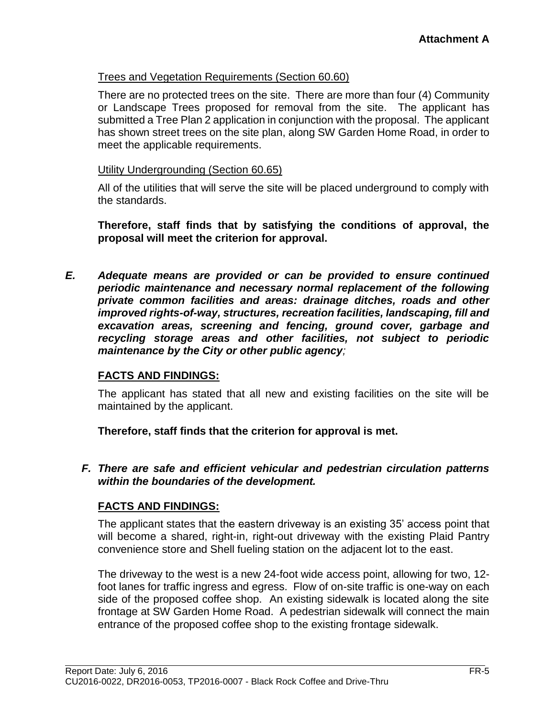#### Trees and Vegetation Requirements (Section 60.60)

There are no protected trees on the site. There are more than four (4) Community or Landscape Trees proposed for removal from the site. The applicant has submitted a Tree Plan 2 application in conjunction with the proposal. The applicant has shown street trees on the site plan, along SW Garden Home Road, in order to meet the applicable requirements.

#### Utility Undergrounding (Section 60.65)

All of the utilities that will serve the site will be placed underground to comply with the standards.

**Therefore, staff finds that by satisfying the conditions of approval, the proposal will meet the criterion for approval.**

*E. Adequate means are provided or can be provided to ensure continued periodic maintenance and necessary normal replacement of the following private common facilities and areas: drainage ditches, roads and other improved rights-of-way, structures, recreation facilities, landscaping, fill and excavation areas, screening and fencing, ground cover, garbage and recycling storage areas and other facilities, not subject to periodic maintenance by the City or other public agency;*

# **FACTS AND FINDINGS:**

The applicant has stated that all new and existing facilities on the site will be maintained by the applicant.

**Therefore, staff finds that the criterion for approval is met.**

*F. There are safe and efficient vehicular and pedestrian circulation patterns within the boundaries of the development.*

#### **FACTS AND FINDINGS:**

The applicant states that the eastern driveway is an existing 35' access point that will become a shared, right-in, right-out driveway with the existing Plaid Pantry convenience store and Shell fueling station on the adjacent lot to the east.

The driveway to the west is a new 24-foot wide access point, allowing for two, 12 foot lanes for traffic ingress and egress. Flow of on-site traffic is one-way on each side of the proposed coffee shop. An existing sidewalk is located along the site frontage at SW Garden Home Road. A pedestrian sidewalk will connect the main entrance of the proposed coffee shop to the existing frontage sidewalk.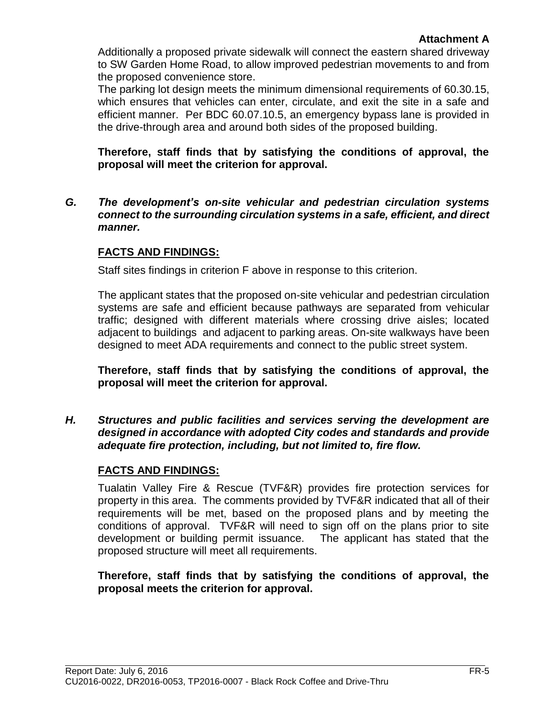Additionally a proposed private sidewalk will connect the eastern shared driveway to SW Garden Home Road, to allow improved pedestrian movements to and from the proposed convenience store.

The parking lot design meets the minimum dimensional requirements of 60.30.15, which ensures that vehicles can enter, circulate, and exit the site in a safe and efficient manner. Per BDC 60.07.10.5, an emergency bypass lane is provided in the drive-through area and around both sides of the proposed building.

**Therefore, staff finds that by satisfying the conditions of approval, the proposal will meet the criterion for approval.**

*G. The development's on-site vehicular and pedestrian circulation systems connect to the surrounding circulation systems in a safe, efficient, and direct manner.*

# **FACTS AND FINDINGS:**

Staff sites findings in criterion F above in response to this criterion.

The applicant states that the proposed on-site vehicular and pedestrian circulation systems are safe and efficient because pathways are separated from vehicular traffic; designed with different materials where crossing drive aisles; located adjacent to buildings and adjacent to parking areas. On-site walkways have been designed to meet ADA requirements and connect to the public street system.

**Therefore, staff finds that by satisfying the conditions of approval, the proposal will meet the criterion for approval.**

*H. Structures and public facilities and services serving the development are designed in accordance with adopted City codes and standards and provide adequate fire protection, including, but not limited to, fire flow.*

# **FACTS AND FINDINGS:**

Tualatin Valley Fire & Rescue (TVF&R) provides fire protection services for property in this area. The comments provided by TVF&R indicated that all of their requirements will be met, based on the proposed plans and by meeting the conditions of approval. TVF&R will need to sign off on the plans prior to site development or building permit issuance. The applicant has stated that the proposed structure will meet all requirements.

**Therefore, staff finds that by satisfying the conditions of approval, the proposal meets the criterion for approval.**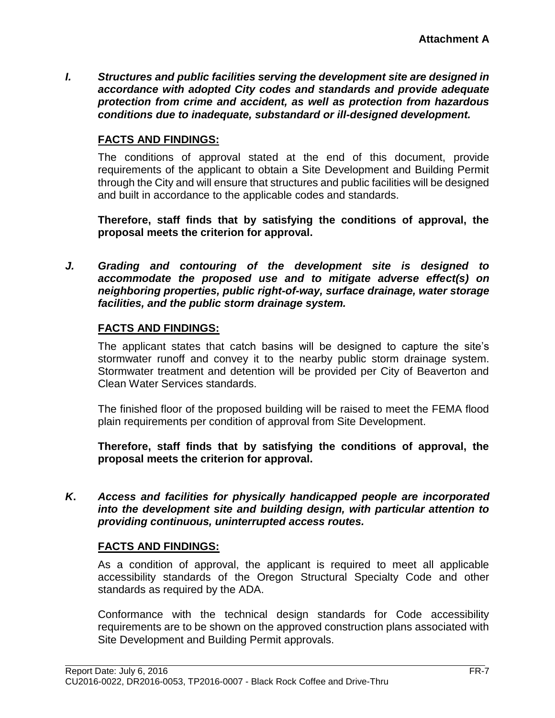*I. Structures and public facilities serving the development site are designed in accordance with adopted City codes and standards and provide adequate protection from crime and accident, as well as protection from hazardous conditions due to inadequate, substandard or ill-designed development.*

### **FACTS AND FINDINGS:**

The conditions of approval stated at the end of this document, provide requirements of the applicant to obtain a Site Development and Building Permit through the City and will ensure that structures and public facilities will be designed and built in accordance to the applicable codes and standards.

**Therefore, staff finds that by satisfying the conditions of approval, the proposal meets the criterion for approval.**

*J. Grading and contouring of the development site is designed to accommodate the proposed use and to mitigate adverse effect(s) on neighboring properties, public right-of-way, surface drainage, water storage facilities, and the public storm drainage system.*

#### **FACTS AND FINDINGS:**

The applicant states that catch basins will be designed to capture the site's stormwater runoff and convey it to the nearby public storm drainage system. Stormwater treatment and detention will be provided per City of Beaverton and Clean Water Services standards.

The finished floor of the proposed building will be raised to meet the FEMA flood plain requirements per condition of approval from Site Development.

**Therefore, staff finds that by satisfying the conditions of approval, the proposal meets the criterion for approval.**

*K***.** *Access and facilities for physically handicapped people are incorporated into the development site and building design, with particular attention to providing continuous, uninterrupted access routes.*

#### **FACTS AND FINDINGS:**

As a condition of approval, the applicant is required to meet all applicable accessibility standards of the Oregon Structural Specialty Code and other standards as required by the ADA.

Conformance with the technical design standards for Code accessibility requirements are to be shown on the approved construction plans associated with Site Development and Building Permit approvals.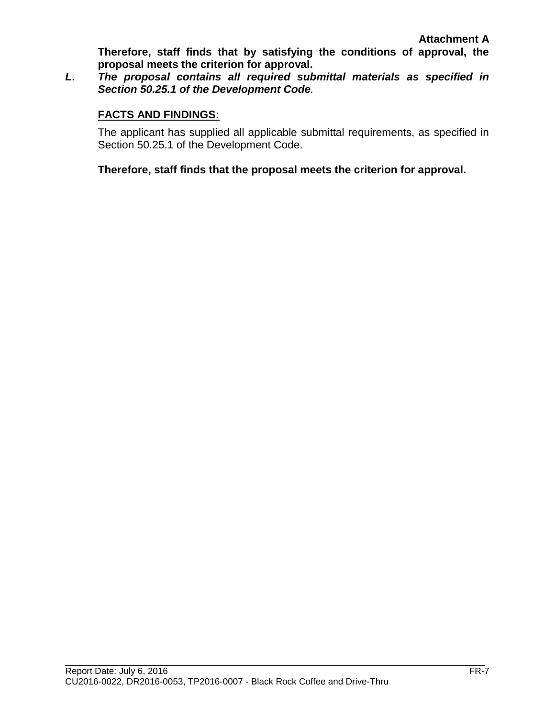**Therefore, staff finds that by satisfying the conditions of approval, the proposal meets the criterion for approval.**

*L***.** *The proposal contains all required submittal materials as specified in Section 50.25.1 of the Development Code.* 

#### **FACTS AND FINDINGS:**

The applicant has supplied all applicable submittal requirements, as specified in Section 50.25.1 of the Development Code.

**Therefore, staff finds that the proposal meets the criterion for approval.**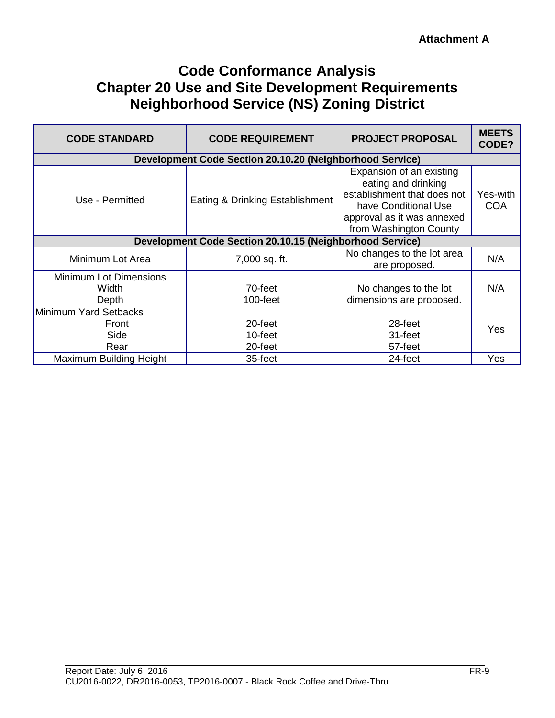# **Code Conformance Analysis Chapter 20 Use and Site Development Requirements Neighborhood Service (NS) Zoning District**

| <b>CODE STANDARD</b>                            | <b>CODE REQUIREMENT</b>                                  | <b>PROJECT PROPOSAL</b>                                                                                                                                        | <b>MEETS</b><br>CODE?  |
|-------------------------------------------------|----------------------------------------------------------|----------------------------------------------------------------------------------------------------------------------------------------------------------------|------------------------|
|                                                 | Development Code Section 20.10.20 (Neighborhood Service) |                                                                                                                                                                |                        |
| Use - Permitted                                 | Eating & Drinking Establishment                          | Expansion of an existing<br>eating and drinking<br>establishment that does not<br>have Conditional Use<br>approval as it was annexed<br>from Washington County | Yes-with<br><b>COA</b> |
|                                                 | Development Code Section 20.10.15 (Neighborhood Service) |                                                                                                                                                                |                        |
| Minimum Lot Area                                | 7,000 sq. ft.                                            | No changes to the lot area<br>are proposed.                                                                                                                    | N/A                    |
| <b>Minimum Lot Dimensions</b><br>Width<br>Depth | 70-feet<br>$100$ -feet                                   | No changes to the lot<br>dimensions are proposed.                                                                                                              | N/A                    |
| Minimum Yard Setbacks<br>Front<br>Side<br>Rear  | 20-feet<br>10-feet<br>20-feet                            | 28-feet<br>31-feet<br>57-feet                                                                                                                                  | Yes                    |
| <b>Maximum Building Height</b>                  | 35-feet                                                  | 24-feet                                                                                                                                                        | Yes                    |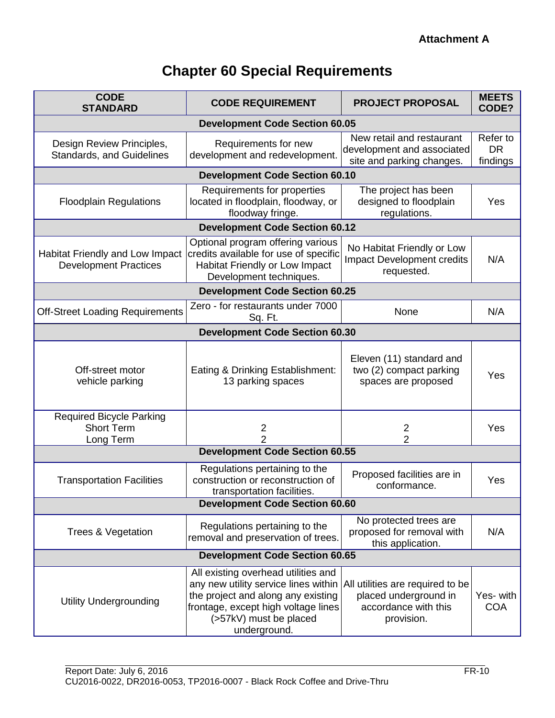# **Chapter 60 Special Requirements**

| <b>CODE</b><br><b>STANDARD</b>                                    | <b>CODE REQUIREMENT</b>                                                                                                                                                                            | <b>PROJECT PROPOSAL</b>                                                                         | <b>MEETS</b><br>CODE?             |  |  |
|-------------------------------------------------------------------|----------------------------------------------------------------------------------------------------------------------------------------------------------------------------------------------------|-------------------------------------------------------------------------------------------------|-----------------------------------|--|--|
| <b>Development Code Section 60.05</b>                             |                                                                                                                                                                                                    |                                                                                                 |                                   |  |  |
| Design Review Principles,<br><b>Standards, and Guidelines</b>     | Requirements for new<br>development and redevelopment.                                                                                                                                             | New retail and restaurant<br>development and associated<br>site and parking changes.            | Refer to<br><b>DR</b><br>findings |  |  |
|                                                                   | <b>Development Code Section 60.10</b>                                                                                                                                                              |                                                                                                 |                                   |  |  |
| <b>Floodplain Regulations</b>                                     | Requirements for properties<br>located in floodplain, floodway, or<br>floodway fringe.                                                                                                             | The project has been<br>designed to floodplain<br>regulations.                                  | Yes                               |  |  |
|                                                                   | <b>Development Code Section 60.12</b>                                                                                                                                                              |                                                                                                 |                                   |  |  |
| Habitat Friendly and Low Impact<br><b>Development Practices</b>   | Optional program offering various<br>credits available for use of specific<br>Habitat Friendly or Low Impact<br>Development techniques.                                                            | No Habitat Friendly or Low<br>Impact Development credits<br>requested.                          | N/A                               |  |  |
| <b>Development Code Section 60.25</b>                             |                                                                                                                                                                                                    |                                                                                                 |                                   |  |  |
| <b>Off-Street Loading Requirements</b>                            | Zero - for restaurants under 7000<br>Sq. Ft.                                                                                                                                                       | None                                                                                            | N/A                               |  |  |
| <b>Development Code Section 60.30</b>                             |                                                                                                                                                                                                    |                                                                                                 |                                   |  |  |
| Off-street motor<br>vehicle parking                               | Eating & Drinking Establishment:<br>13 parking spaces                                                                                                                                              | Eleven (11) standard and<br>two (2) compact parking<br>spaces are proposed                      | Yes                               |  |  |
| <b>Required Bicycle Parking</b><br><b>Short Term</b><br>Long Term | $\overline{2}$<br>2                                                                                                                                                                                | 2<br>$\overline{2}$                                                                             | Yes                               |  |  |
|                                                                   | <b>Development Code Section 60.55</b>                                                                                                                                                              |                                                                                                 |                                   |  |  |
| <b>Transportation Facilities</b>                                  | Regulations pertaining to the<br>construction or reconstruction of<br>transportation facilities.                                                                                                   | Proposed facilities are in<br>conformance.                                                      | Yes                               |  |  |
|                                                                   | <b>Development Code Section 60.60</b>                                                                                                                                                              |                                                                                                 |                                   |  |  |
| Trees & Vegetation                                                | Regulations pertaining to the<br>removal and preservation of trees.                                                                                                                                | No protected trees are<br>proposed for removal with<br>this application.                        | N/A                               |  |  |
|                                                                   | <b>Development Code Section 60.65</b>                                                                                                                                                              |                                                                                                 |                                   |  |  |
| <b>Utility Undergrounding</b>                                     | All existing overhead utilities and<br>any new utility service lines within<br>the project and along any existing<br>frontage, except high voltage lines<br>(>57kV) must be placed<br>underground. | All utilities are required to be<br>placed underground in<br>accordance with this<br>provision. | Yes- with<br><b>COA</b>           |  |  |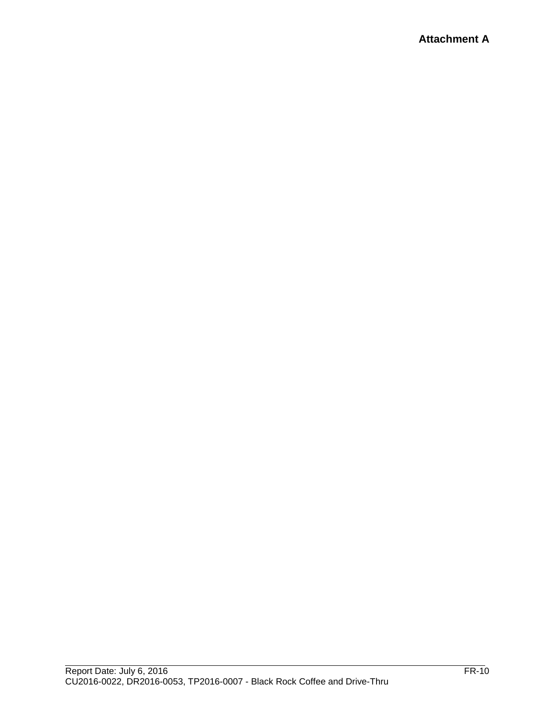# **Attachment A**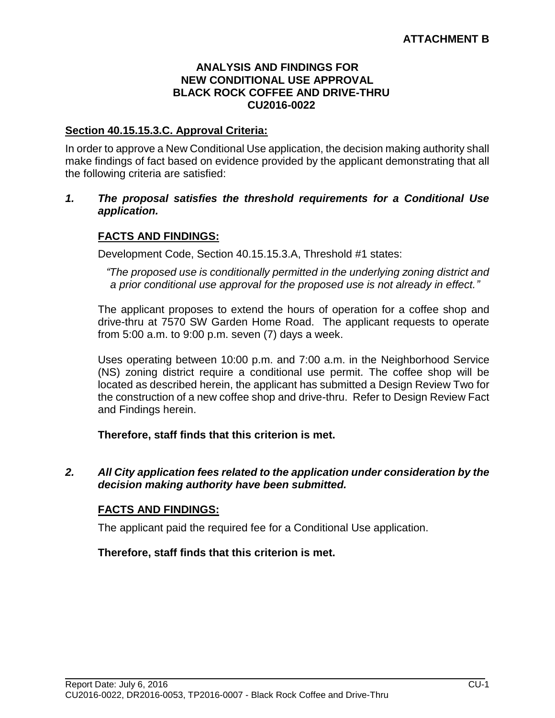#### **ANALYSIS AND FINDINGS FOR NEW CONDITIONAL USE APPROVAL BLACK ROCK COFFEE AND DRIVE-THRU CU2016-0022**

#### **Section 40.15.15.3.C. Approval Criteria:**

In order to approve a New Conditional Use application, the decision making authority shall make findings of fact based on evidence provided by the applicant demonstrating that all the following criteria are satisfied:

#### *1. The proposal satisfies the threshold requirements for a Conditional Use application.*

#### **FACTS AND FINDINGS:**

Development Code, Section 40.15.15.3.A, Threshold #1 states:

*"The proposed use is conditionally permitted in the underlying zoning district and a prior conditional use approval for the proposed use is not already in effect."* 

The applicant proposes to extend the hours of operation for a coffee shop and drive-thru at 7570 SW Garden Home Road. The applicant requests to operate from 5:00 a.m. to 9:00 p.m. seven (7) days a week.

Uses operating between 10:00 p.m. and 7:00 a.m. in the Neighborhood Service (NS) zoning district require a conditional use permit. The coffee shop will be located as described herein, the applicant has submitted a Design Review Two for the construction of a new coffee shop and drive-thru. Refer to Design Review Fact and Findings herein.

#### **Therefore, staff finds that this criterion is met.**

*2. All City application fees related to the application under consideration by the decision making authority have been submitted.*

#### **FACTS AND FINDINGS:**

The applicant paid the required fee for a Conditional Use application.

**Therefore, staff finds that this criterion is met.**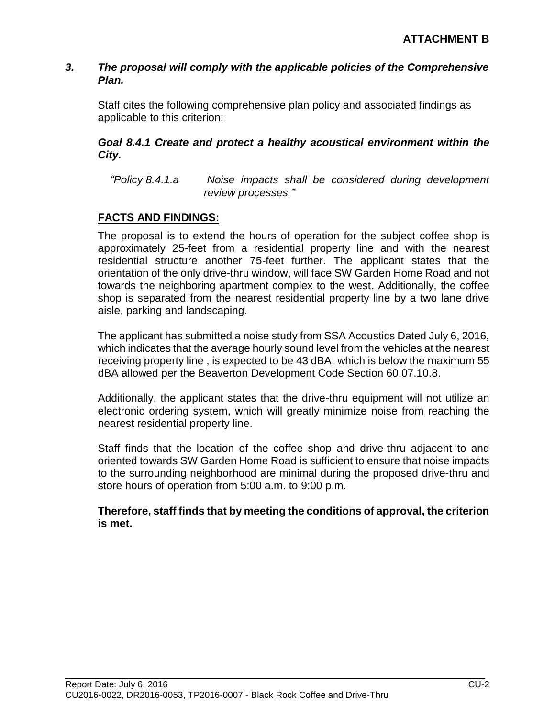#### *3. The proposal will comply with the applicable policies of the Comprehensive Plan.*

Staff cites the following comprehensive plan policy and associated findings as applicable to this criterion:

# *Goal 8.4.1 Create and protect a healthy acoustical environment within the City.*

*"Policy 8.4.1.a Noise impacts shall be considered during development review processes."*

# **FACTS AND FINDINGS:**

The proposal is to extend the hours of operation for the subject coffee shop is approximately 25-feet from a residential property line and with the nearest residential structure another 75-feet further. The applicant states that the orientation of the only drive-thru window, will face SW Garden Home Road and not towards the neighboring apartment complex to the west. Additionally, the coffee shop is separated from the nearest residential property line by a two lane drive aisle, parking and landscaping.

The applicant has submitted a noise study from SSA Acoustics Dated July 6, 2016, which indicates that the average hourly sound level from the vehicles at the nearest receiving property line , is expected to be 43 dBA, which is below the maximum 55 dBA allowed per the Beaverton Development Code Section 60.07.10.8.

Additionally, the applicant states that the drive-thru equipment will not utilize an electronic ordering system, which will greatly minimize noise from reaching the nearest residential property line.

Staff finds that the location of the coffee shop and drive-thru adjacent to and oriented towards SW Garden Home Road is sufficient to ensure that noise impacts to the surrounding neighborhood are minimal during the proposed drive-thru and store hours of operation from 5:00 a.m. to 9:00 p.m.

#### **Therefore, staff finds that by meeting the conditions of approval, the criterion is met.**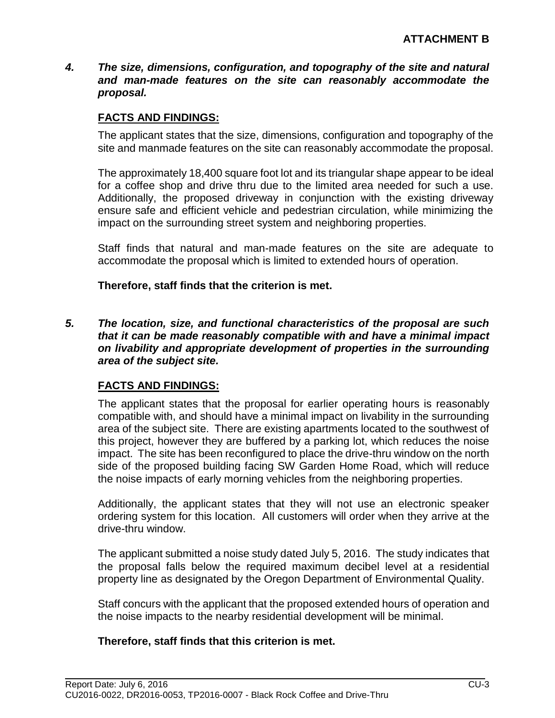*4. The size, dimensions, configuration, and topography of the site and natural and man-made features on the site can reasonably accommodate the proposal.*

# **FACTS AND FINDINGS:**

The applicant states that the size, dimensions, configuration and topography of the site and manmade features on the site can reasonably accommodate the proposal.

The approximately 18,400 square foot lot and its triangular shape appear to be ideal for a coffee shop and drive thru due to the limited area needed for such a use. Additionally, the proposed driveway in conjunction with the existing driveway ensure safe and efficient vehicle and pedestrian circulation, while minimizing the impact on the surrounding street system and neighboring properties.

Staff finds that natural and man-made features on the site are adequate to accommodate the proposal which is limited to extended hours of operation.

**Therefore, staff finds that the criterion is met.**

*5. The location, size, and functional characteristics of the proposal are such that it can be made reasonably compatible with and have a minimal impact on livability and appropriate development of properties in the surrounding area of the subject site.*

# **FACTS AND FINDINGS:**

The applicant states that the proposal for earlier operating hours is reasonably compatible with, and should have a minimal impact on livability in the surrounding area of the subject site. There are existing apartments located to the southwest of this project, however they are buffered by a parking lot, which reduces the noise impact. The site has been reconfigured to place the drive-thru window on the north side of the proposed building facing SW Garden Home Road, which will reduce the noise impacts of early morning vehicles from the neighboring properties.

Additionally, the applicant states that they will not use an electronic speaker ordering system for this location. All customers will order when they arrive at the drive-thru window.

The applicant submitted a noise study dated July 5, 2016. The study indicates that the proposal falls below the required maximum decibel level at a residential property line as designated by the Oregon Department of Environmental Quality.

Staff concurs with the applicant that the proposed extended hours of operation and the noise impacts to the nearby residential development will be minimal.

#### **Therefore, staff finds that this criterion is met.**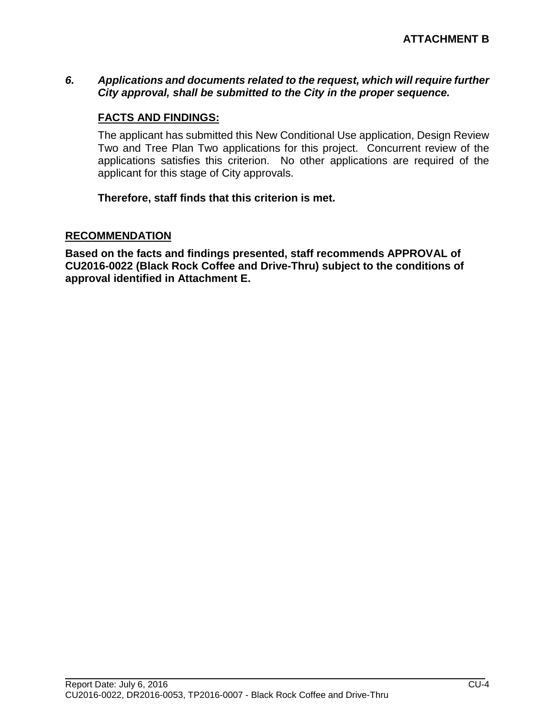### *6. Applications and documents related to the request, which will require further City approval, shall be submitted to the City in the proper sequence.*

# **FACTS AND FINDINGS:**

The applicant has submitted this New Conditional Use application, Design Review Two and Tree Plan Two applications for this project. Concurrent review of the applications satisfies this criterion. No other applications are required of the applicant for this stage of City approvals.

**Therefore, staff finds that this criterion is met.**

#### **RECOMMENDATION**

**Based on the facts and findings presented, staff recommends APPROVAL of CU2016-0022 (Black Rock Coffee and Drive-Thru) subject to the conditions of approval identified in Attachment E.**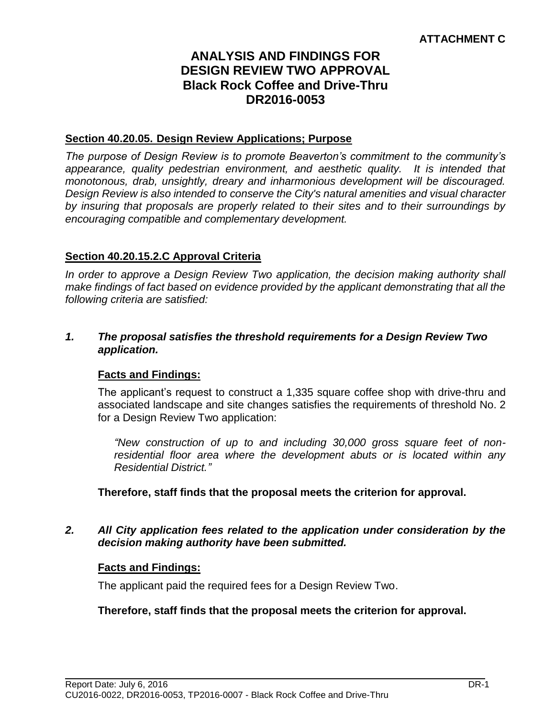# **ANALYSIS AND FINDINGS FOR DESIGN REVIEW TWO APPROVAL Black Rock Coffee and Drive-Thru DR2016-0053**

#### **Section 40.20.05. Design Review Applications; Purpose**

*The purpose of Design Review is to promote Beaverton's commitment to the community's appearance, quality pedestrian environment, and aesthetic quality. It is intended that monotonous, drab, unsightly, dreary and inharmonious development will be discouraged. Design Review is also intended to conserve the City's natural amenities and visual character by insuring that proposals are properly related to their sites and to their surroundings by encouraging compatible and complementary development.*

# **Section 40.20.15.2.C Approval Criteria**

*In order to approve a Design Review Two application, the decision making authority shall make findings of fact based on evidence provided by the applicant demonstrating that all the following criteria are satisfied:*

#### *1. The proposal satisfies the threshold requirements for a Design Review Two application.*

#### **Facts and Findings:**

The applicant's request to construct a 1,335 square coffee shop with drive-thru and associated landscape and site changes satisfies the requirements of threshold No. 2 for a Design Review Two application:

*"New construction of up to and including 30,000 gross square feet of nonresidential floor area where the development abuts or is located within any Residential District."*

**Therefore, staff finds that the proposal meets the criterion for approval.**

#### *2. All City application fees related to the application under consideration by the decision making authority have been submitted.*

#### **Facts and Findings:**

The applicant paid the required fees for a Design Review Two.

#### **Therefore, staff finds that the proposal meets the criterion for approval.**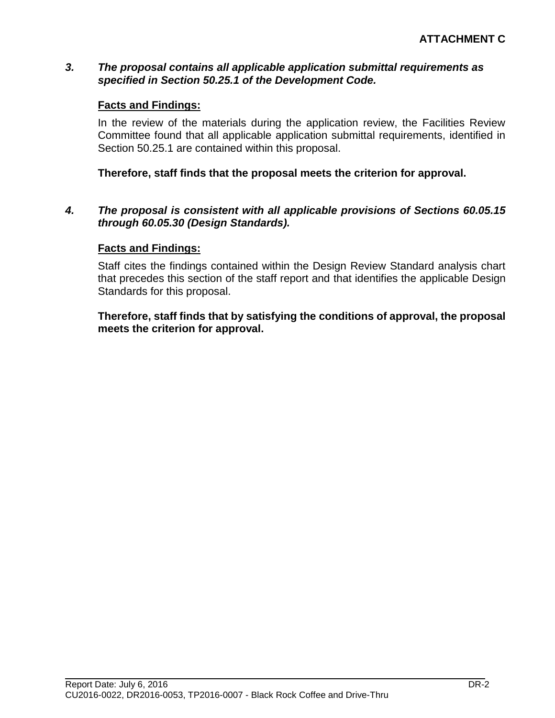#### *3. The proposal contains all applicable application submittal requirements as specified in Section 50.25.1 of the Development Code.*

#### **Facts and Findings:**

In the review of the materials during the application review, the Facilities Review Committee found that all applicable application submittal requirements, identified in Section 50.25.1 are contained within this proposal.

#### **Therefore, staff finds that the proposal meets the criterion for approval.**

#### *4. The proposal is consistent with all applicable provisions of Sections 60.05.15 through 60.05.30 (Design Standards).*

#### **Facts and Findings:**

Staff cites the findings contained within the Design Review Standard analysis chart that precedes this section of the staff report and that identifies the applicable Design Standards for this proposal.

**Therefore, staff finds that by satisfying the conditions of approval, the proposal meets the criterion for approval.**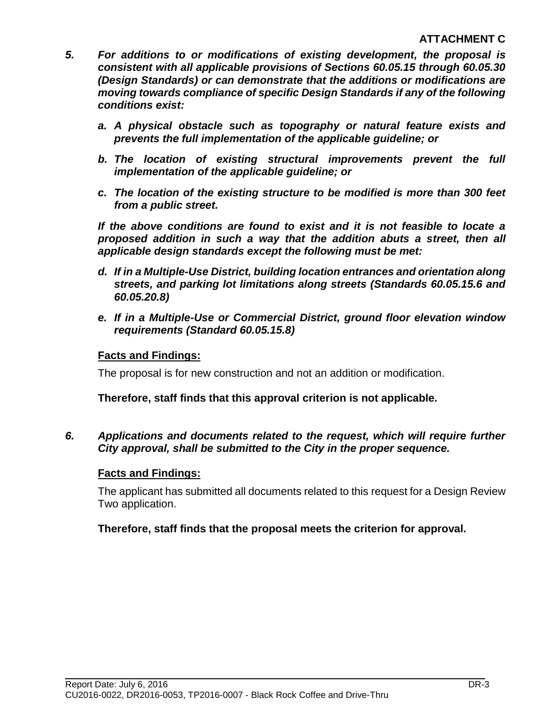- *5. For additions to or modifications of existing development, the proposal is consistent with all applicable provisions of Sections 60.05.15 through 60.05.30 (Design Standards) or can demonstrate that the additions or modifications are moving towards compliance of specific Design Standards if any of the following conditions exist:*
	- *a. A physical obstacle such as topography or natural feature exists and prevents the full implementation of the applicable guideline; or*
	- *b. The location of existing structural improvements prevent the full implementation of the applicable guideline; or*
	- *c. The location of the existing structure to be modified is more than 300 feet from a public street.*

*If the above conditions are found to exist and it is not feasible to locate a proposed addition in such a way that the addition abuts a street, then all applicable design standards except the following must be met:*

- *d. If in a Multiple-Use District, building location entrances and orientation along streets, and parking lot limitations along streets (Standards 60.05.15.6 and 60.05.20.8)*
- *e. If in a Multiple-Use or Commercial District, ground floor elevation window requirements (Standard 60.05.15.8)*

# **Facts and Findings:**

The proposal is for new construction and not an addition or modification.

# **Therefore, staff finds that this approval criterion is not applicable.**

# *6. Applications and documents related to the request, which will require further City approval, shall be submitted to the City in the proper sequence.*

# **Facts and Findings:**

The applicant has submitted all documents related to this request for a Design Review Two application.

# **Therefore, staff finds that the proposal meets the criterion for approval.**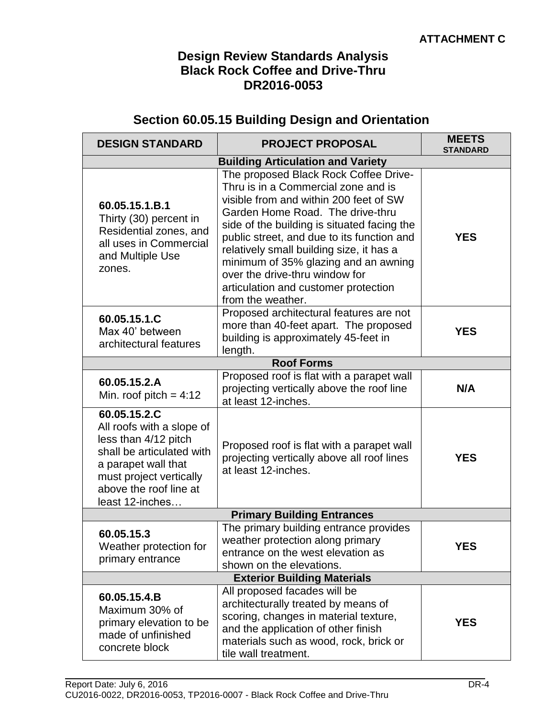# **Design Review Standards Analysis Black Rock Coffee and Drive-Thru DR2016-0053**

# **Section 60.05.15 Building Design and Orientation**

| <b>DESIGN STANDARD</b>                                                                                                                                                                        | <b>PROJECT PROPOSAL</b>                                                                                                                                                                                                                                                                                                                                                                                                                    | <b>MEETS</b><br><b>STANDARD</b> |  |  |
|-----------------------------------------------------------------------------------------------------------------------------------------------------------------------------------------------|--------------------------------------------------------------------------------------------------------------------------------------------------------------------------------------------------------------------------------------------------------------------------------------------------------------------------------------------------------------------------------------------------------------------------------------------|---------------------------------|--|--|
| <b>Building Articulation and Variety</b>                                                                                                                                                      |                                                                                                                                                                                                                                                                                                                                                                                                                                            |                                 |  |  |
| 60.05.15.1.B.1<br>Thirty (30) percent in<br>Residential zones, and<br>all uses in Commercial<br>and Multiple Use<br>zones.                                                                    | The proposed Black Rock Coffee Drive-<br>Thru is in a Commercial zone and is<br>visible from and within 200 feet of SW<br>Garden Home Road. The drive-thru<br>side of the building is situated facing the<br>public street, and due to its function and<br>relatively small building size, it has a<br>minimum of 35% glazing and an awning<br>over the drive-thru window for<br>articulation and customer protection<br>from the weather. | <b>YES</b>                      |  |  |
| 60.05.15.1.C<br>Max 40' between<br>architectural features                                                                                                                                     | Proposed architectural features are not<br>more than 40-feet apart. The proposed<br>building is approximately 45-feet in<br>length.                                                                                                                                                                                                                                                                                                        | <b>YES</b>                      |  |  |
|                                                                                                                                                                                               | <b>Roof Forms</b>                                                                                                                                                                                                                                                                                                                                                                                                                          |                                 |  |  |
| 60.05.15.2.A<br>Min. roof pitch = $4:12$                                                                                                                                                      | Proposed roof is flat with a parapet wall<br>projecting vertically above the roof line<br>at least 12-inches.                                                                                                                                                                                                                                                                                                                              | N/A                             |  |  |
| 60.05.15.2.C<br>All roofs with a slope of<br>less than 4/12 pitch<br>shall be articulated with<br>a parapet wall that<br>must project vertically<br>above the roof line at<br>least 12-inches | Proposed roof is flat with a parapet wall<br>projecting vertically above all roof lines<br>at least 12-inches.                                                                                                                                                                                                                                                                                                                             | <b>YES</b>                      |  |  |
|                                                                                                                                                                                               | <b>Primary Building Entrances</b>                                                                                                                                                                                                                                                                                                                                                                                                          |                                 |  |  |
| 60.05.15.3<br>Weather protection for<br>primary entrance                                                                                                                                      | The primary building entrance provides<br>weather protection along primary<br>entrance on the west elevation as<br>shown on the elevations.                                                                                                                                                                                                                                                                                                | <b>YES</b>                      |  |  |
| <b>Exterior Building Materials</b>                                                                                                                                                            |                                                                                                                                                                                                                                                                                                                                                                                                                                            |                                 |  |  |
| 60.05.15.4.B<br>Maximum 30% of<br>primary elevation to be<br>made of unfinished<br>concrete block                                                                                             | All proposed facades will be<br>architecturally treated by means of<br>scoring, changes in material texture,<br>and the application of other finish<br>materials such as wood, rock, brick or<br>tile wall treatment.                                                                                                                                                                                                                      | <b>YES</b>                      |  |  |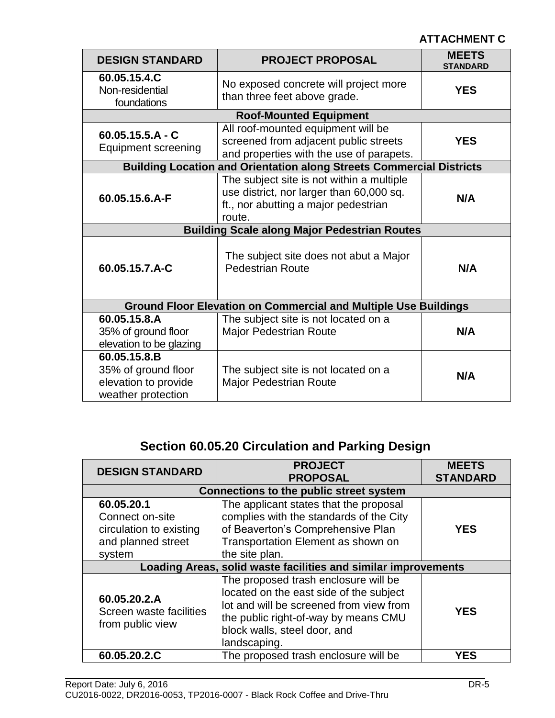| <b>DESIGN STANDARD</b>                                                            | <b>PROJECT PROPOSAL</b>                                                                                                                 | <b>MEETS</b><br><b>STANDARD</b> |  |
|-----------------------------------------------------------------------------------|-----------------------------------------------------------------------------------------------------------------------------------------|---------------------------------|--|
| 60.05.15.4.C<br>Non-residential<br>foundations                                    | No exposed concrete will project more<br>than three feet above grade.                                                                   | <b>YES</b>                      |  |
|                                                                                   | <b>Roof-Mounted Equipment</b>                                                                                                           |                                 |  |
| $60.05.15.5.A - C$<br><b>Equipment screening</b>                                  | All roof-mounted equipment will be<br>screened from adjacent public streets<br>and properties with the use of parapets.                 | <b>YES</b>                      |  |
|                                                                                   | <b>Building Location and Orientation along Streets Commercial Districts</b>                                                             |                                 |  |
| 60.05.15.6.A-F                                                                    | The subject site is not within a multiple<br>use district, nor larger than 60,000 sq.<br>ft., nor abutting a major pedestrian<br>route. | N/A                             |  |
| <b>Building Scale along Major Pedestrian Routes</b>                               |                                                                                                                                         |                                 |  |
| 60.05.15.7.A-C                                                                    | The subject site does not abut a Major<br><b>Pedestrian Route</b>                                                                       | N/A                             |  |
|                                                                                   | <b>Ground Floor Elevation on Commercial and Multiple Use Buildings</b>                                                                  |                                 |  |
| 60.05.15.8.A<br>35% of ground floor<br>elevation to be glazing                    | The subject site is not located on a<br><b>Major Pedestrian Route</b>                                                                   | N/A                             |  |
| 60.05.15.8.B<br>35% of ground floor<br>elevation to provide<br>weather protection | The subject site is not located on a<br><b>Major Pedestrian Route</b>                                                                   | N/A                             |  |

# **Section 60.05.20 Circulation and Parking Design**

| <b>DESIGN STANDARD</b>                                                                                                                                                                                                                                                     | <b>PROJECT</b><br><b>PROPOSAL</b>                                                                                                                                                                                  | <b>MEETS</b><br><b>STANDARD</b> |  |
|----------------------------------------------------------------------------------------------------------------------------------------------------------------------------------------------------------------------------------------------------------------------------|--------------------------------------------------------------------------------------------------------------------------------------------------------------------------------------------------------------------|---------------------------------|--|
|                                                                                                                                                                                                                                                                            | <b>Connections to the public street system</b>                                                                                                                                                                     |                                 |  |
| The applicant states that the proposal<br>60.05.20.1<br>complies with the standards of the City<br>Connect on-site<br>of Beaverton's Comprehensive Plan<br>circulation to existing<br>Transportation Element as shown on<br>and planned street<br>the site plan.<br>system |                                                                                                                                                                                                                    | <b>YES</b>                      |  |
|                                                                                                                                                                                                                                                                            | Loading Areas, solid waste facilities and similar improvements                                                                                                                                                     |                                 |  |
| 60.05.20.2.A<br>Screen waste facilities<br>from public view                                                                                                                                                                                                                | The proposed trash enclosure will be<br>located on the east side of the subject<br>lot and will be screened from view from<br>the public right-of-way by means CMU<br>block walls, steel door, and<br>landscaping. | <b>YES</b>                      |  |
| 60.05.20.2.C                                                                                                                                                                                                                                                               | The proposed trash enclosure will be                                                                                                                                                                               | <b>YES</b>                      |  |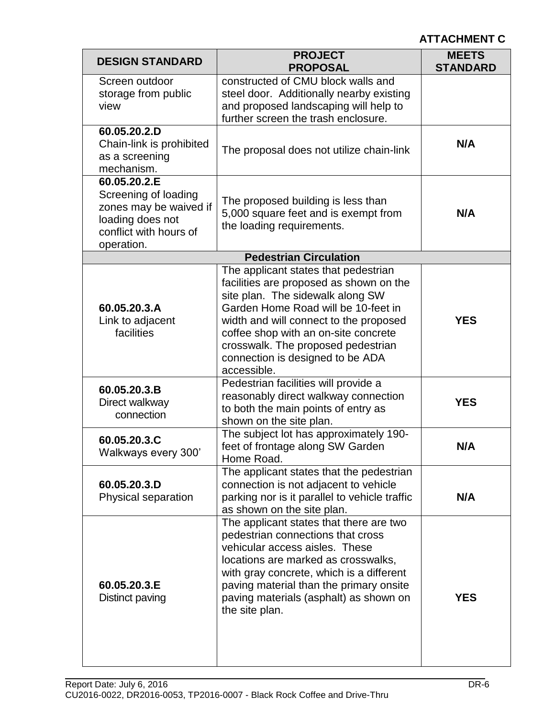| <b>DESIGN STANDARD</b>                                                                                                     | <b>PROJECT</b><br><b>PROPOSAL</b>                                                                                                                                                                                                                                                                                                     | <b>MEETS</b><br><b>STANDARD</b> |
|----------------------------------------------------------------------------------------------------------------------------|---------------------------------------------------------------------------------------------------------------------------------------------------------------------------------------------------------------------------------------------------------------------------------------------------------------------------------------|---------------------------------|
| Screen outdoor<br>storage from public<br>view                                                                              | constructed of CMU block walls and<br>steel door. Additionally nearby existing<br>and proposed landscaping will help to<br>further screen the trash enclosure.                                                                                                                                                                        |                                 |
| 60.05.20.2.D<br>Chain-link is prohibited<br>as a screening<br>mechanism.                                                   | The proposal does not utilize chain-link                                                                                                                                                                                                                                                                                              | N/A                             |
| 60.05.20.2.E<br>Screening of loading<br>zones may be waived if<br>loading does not<br>conflict with hours of<br>operation. | The proposed building is less than<br>5,000 square feet and is exempt from<br>the loading requirements.                                                                                                                                                                                                                               | N/A                             |
|                                                                                                                            | <b>Pedestrian Circulation</b>                                                                                                                                                                                                                                                                                                         |                                 |
| 60.05.20.3.A<br>Link to adjacent<br>facilities                                                                             | The applicant states that pedestrian<br>facilities are proposed as shown on the<br>site plan. The sidewalk along SW<br>Garden Home Road will be 10-feet in<br>width and will connect to the proposed<br>coffee shop with an on-site concrete<br>crosswalk. The proposed pedestrian<br>connection is designed to be ADA<br>accessible. | <b>YES</b>                      |
| 60.05.20.3.B<br>Direct walkway<br>connection                                                                               | Pedestrian facilities will provide a<br>reasonably direct walkway connection<br>to both the main points of entry as<br>shown on the site plan.                                                                                                                                                                                        | <b>YES</b>                      |
| 60.05.20.3.C<br>Walkways every 300'                                                                                        | The subject lot has approximately 190-<br>feet of frontage along SW Garden<br>Home Road.                                                                                                                                                                                                                                              | N/A                             |
| 60.05.20.3.D<br>Physical separation                                                                                        | The applicant states that the pedestrian<br>connection is not adjacent to vehicle<br>parking nor is it parallel to vehicle traffic<br>as shown on the site plan.                                                                                                                                                                      | N/A                             |
| 60.05.20.3.E<br>Distinct paving                                                                                            | The applicant states that there are two<br>pedestrian connections that cross<br>vehicular access aisles. These<br>locations are marked as crosswalks,<br>with gray concrete, which is a different<br>paving material than the primary onsite<br>paving materials (asphalt) as shown on<br>the site plan.                              | <b>YES</b>                      |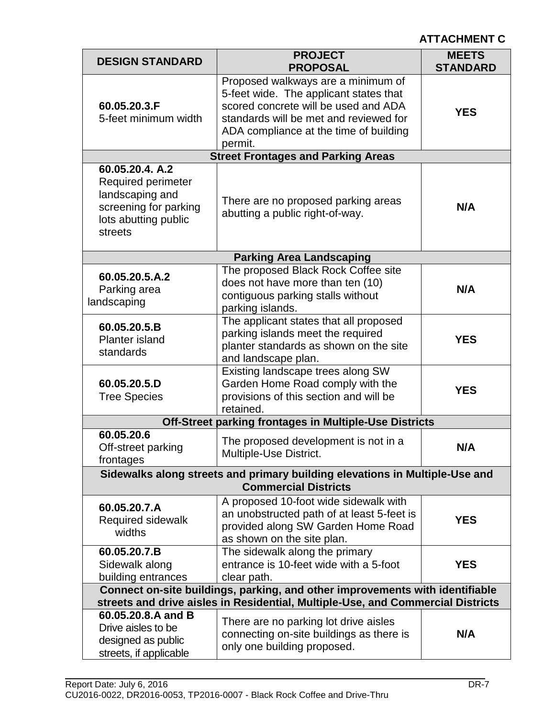| <b>DESIGN STANDARD</b>                                                                                                                                          | <b>PROJECT</b><br><b>PROPOSAL</b>                                                                                                                                                                                   | <b>MEETS</b><br><b>STANDARD</b> |  |
|-----------------------------------------------------------------------------------------------------------------------------------------------------------------|---------------------------------------------------------------------------------------------------------------------------------------------------------------------------------------------------------------------|---------------------------------|--|
| 60.05.20.3.F<br>5-feet minimum width                                                                                                                            | Proposed walkways are a minimum of<br>5-feet wide. The applicant states that<br>scored concrete will be used and ADA<br>standards will be met and reviewed for<br>ADA compliance at the time of building<br>permit. | <b>YES</b>                      |  |
|                                                                                                                                                                 | <b>Street Frontages and Parking Areas</b>                                                                                                                                                                           |                                 |  |
| 60.05.20.4. A.2<br><b>Required perimeter</b><br>landscaping and<br>screening for parking<br>lots abutting public<br>streets                                     | There are no proposed parking areas<br>abutting a public right-of-way.                                                                                                                                              | N/A                             |  |
|                                                                                                                                                                 | <b>Parking Area Landscaping</b>                                                                                                                                                                                     |                                 |  |
| 60.05.20.5.A.2<br>Parking area<br>landscaping                                                                                                                   | The proposed Black Rock Coffee site<br>does not have more than ten (10)<br>contiguous parking stalls without<br>parking islands.                                                                                    | N/A                             |  |
| 60.05.20.5.B<br><b>Planter island</b><br>standards                                                                                                              | The applicant states that all proposed<br>parking islands meet the required<br>planter standards as shown on the site<br>and landscape plan.                                                                        | <b>YES</b>                      |  |
| 60.05.20.5.D<br><b>Tree Species</b>                                                                                                                             | Existing landscape trees along SW<br>Garden Home Road comply with the<br>provisions of this section and will be<br>retained.                                                                                        | <b>YES</b>                      |  |
|                                                                                                                                                                 | Off-Street parking frontages in Multiple-Use Districts                                                                                                                                                              |                                 |  |
| 60.05.20.6<br>Off-street parking<br>frontages                                                                                                                   | The proposed development is not in a<br>Multiple-Use District.                                                                                                                                                      | N/A                             |  |
|                                                                                                                                                                 | Sidewalks along streets and primary building elevations in Multiple-Use and<br><b>Commercial Districts</b>                                                                                                          |                                 |  |
| 60.05.20.7.A<br>Required sidewalk<br>widths                                                                                                                     | A proposed 10-foot wide sidewalk with<br>an unobstructed path of at least 5-feet is<br>provided along SW Garden Home Road<br>as shown on the site plan.                                                             | <b>YES</b>                      |  |
| 60.05.20.7.B<br>Sidewalk along<br>building entrances                                                                                                            | The sidewalk along the primary<br>entrance is 10-feet wide with a 5-foot<br>clear path.                                                                                                                             | <b>YES</b>                      |  |
| Connect on-site buildings, parking, and other improvements with identifiable<br>streets and drive aisles in Residential, Multiple-Use, and Commercial Districts |                                                                                                                                                                                                                     |                                 |  |
| 60.05.20.8.A and B<br>Drive aisles to be<br>designed as public<br>streets, if applicable                                                                        | There are no parking lot drive aisles<br>connecting on-site buildings as there is<br>only one building proposed.                                                                                                    | N/A                             |  |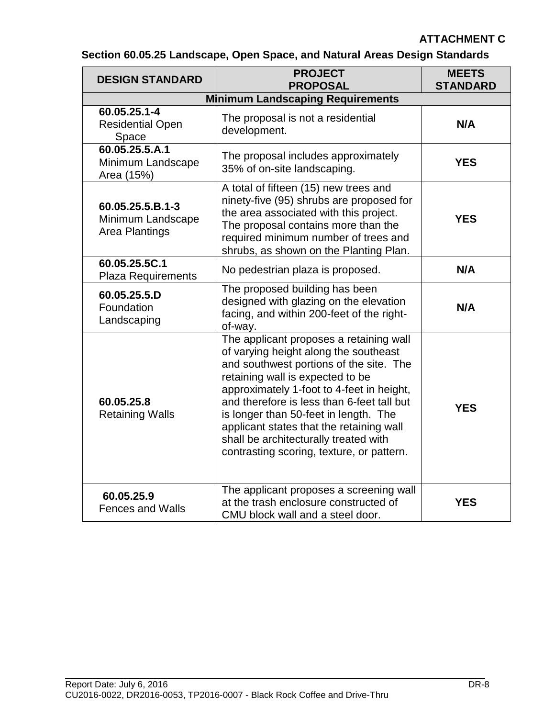| <b>DESIGN STANDARD</b>                                  | <b>PROJECT</b><br><b>PROPOSAL</b>                                                                                                                                                                                                                                                                                                                                                                                                     | <b>MEETS</b><br><b>STANDARD</b> |
|---------------------------------------------------------|---------------------------------------------------------------------------------------------------------------------------------------------------------------------------------------------------------------------------------------------------------------------------------------------------------------------------------------------------------------------------------------------------------------------------------------|---------------------------------|
|                                                         | <b>Minimum Landscaping Requirements</b>                                                                                                                                                                                                                                                                                                                                                                                               |                                 |
| 60.05.25.1-4<br><b>Residential Open</b><br>Space        | The proposal is not a residential<br>development.                                                                                                                                                                                                                                                                                                                                                                                     | N/A                             |
| 60.05.25.5.A.1<br>Minimum Landscape<br>Area (15%)       | The proposal includes approximately<br>35% of on-site landscaping.                                                                                                                                                                                                                                                                                                                                                                    | <b>YES</b>                      |
| 60.05.25.5.B.1-3<br>Minimum Landscape<br>Area Plantings | A total of fifteen (15) new trees and<br>ninety-five (95) shrubs are proposed for<br>the area associated with this project.<br>The proposal contains more than the<br>required minimum number of trees and<br>shrubs, as shown on the Planting Plan.                                                                                                                                                                                  | <b>YES</b>                      |
| 60.05.25.5C.1<br><b>Plaza Requirements</b>              | No pedestrian plaza is proposed.                                                                                                                                                                                                                                                                                                                                                                                                      | N/A                             |
| 60.05.25.5.D<br>Foundation<br>Landscaping               | The proposed building has been<br>designed with glazing on the elevation<br>facing, and within 200-feet of the right-<br>of-way.                                                                                                                                                                                                                                                                                                      | N/A                             |
| 60.05.25.8<br><b>Retaining Walls</b>                    | The applicant proposes a retaining wall<br>of varying height along the southeast<br>and southwest portions of the site. The<br>retaining wall is expected to be<br>approximately 1-foot to 4-feet in height,<br>and therefore is less than 6-feet tall but<br>is longer than 50-feet in length. The<br>applicant states that the retaining wall<br>shall be architecturally treated with<br>contrasting scoring, texture, or pattern. | <b>YES</b>                      |
| 60.05.25.9<br><b>Fences and Walls</b>                   | The applicant proposes a screening wall<br>at the trash enclosure constructed of<br>CMU block wall and a steel door.                                                                                                                                                                                                                                                                                                                  | <b>YES</b>                      |

**Section 60.05.25 Landscape, Open Space, and Natural Areas Design Standards**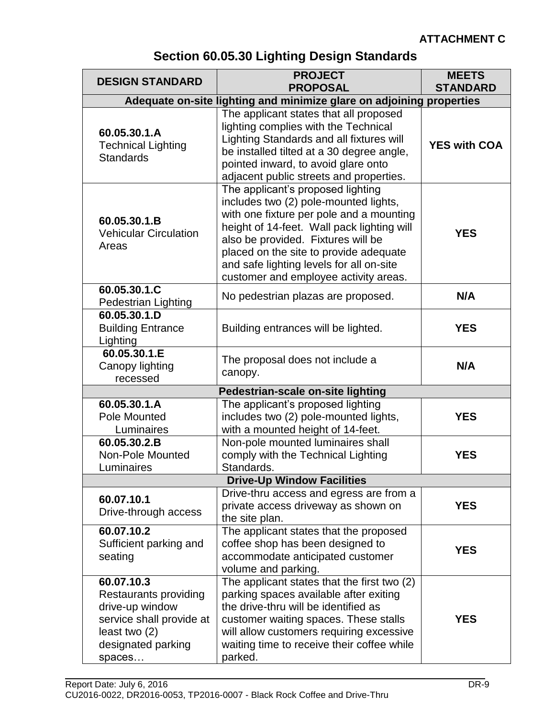# **Section 60.05.30 Lighting Design Standards**

| <b>DESIGN STANDARD</b>                                                                                                              | <b>PROJECT</b>                                                                                                                                                                                                                                                                                                                            | <b>MEETS</b>        |
|-------------------------------------------------------------------------------------------------------------------------------------|-------------------------------------------------------------------------------------------------------------------------------------------------------------------------------------------------------------------------------------------------------------------------------------------------------------------------------------------|---------------------|
|                                                                                                                                     | <b>PROPOSAL</b><br>Adequate on-site lighting and minimize glare on adjoining properties                                                                                                                                                                                                                                                   | <b>STANDARD</b>     |
|                                                                                                                                     | The applicant states that all proposed                                                                                                                                                                                                                                                                                                    |                     |
| 60.05.30.1.A<br><b>Technical Lighting</b><br><b>Standards</b>                                                                       | lighting complies with the Technical<br>Lighting Standards and all fixtures will<br>be installed tilted at a 30 degree angle,<br>pointed inward, to avoid glare onto<br>adjacent public streets and properties.                                                                                                                           | <b>YES with COA</b> |
| 60.05.30.1.B<br><b>Vehicular Circulation</b><br>Areas                                                                               | The applicant's proposed lighting<br>includes two (2) pole-mounted lights,<br>with one fixture per pole and a mounting<br>height of 14-feet. Wall pack lighting will<br>also be provided. Fixtures will be<br>placed on the site to provide adequate<br>and safe lighting levels for all on-site<br>customer and employee activity areas. | <b>YES</b>          |
| 60.05.30.1.C<br><b>Pedestrian Lighting</b>                                                                                          | No pedestrian plazas are proposed.                                                                                                                                                                                                                                                                                                        | N/A                 |
| 60.05.30.1.D<br><b>Building Entrance</b><br>Lighting                                                                                | Building entrances will be lighted.                                                                                                                                                                                                                                                                                                       | <b>YES</b>          |
| 60.05.30.1.E<br>Canopy lighting<br>recessed                                                                                         | The proposal does not include a<br>canopy.                                                                                                                                                                                                                                                                                                | N/A                 |
|                                                                                                                                     | Pedestrian-scale on-site lighting                                                                                                                                                                                                                                                                                                         |                     |
| 60.05.30.1.A<br>Pole Mounted<br>Luminaires                                                                                          | The applicant's proposed lighting<br>includes two (2) pole-mounted lights,<br>with a mounted height of 14-feet.                                                                                                                                                                                                                           | <b>YES</b>          |
| 60.05.30.2.B<br>Non-Pole Mounted<br>Luminaires                                                                                      | Non-pole mounted luminaires shall<br>comply with the Technical Lighting<br>Standards.                                                                                                                                                                                                                                                     | <b>YES</b>          |
|                                                                                                                                     | <b>Drive-Up Window Facilities</b>                                                                                                                                                                                                                                                                                                         |                     |
| 60.07.10.1<br>Drive-through access                                                                                                  | Drive-thru access and egress are from a<br>private access driveway as shown on<br>the site plan.                                                                                                                                                                                                                                          | <b>YES</b>          |
| 60.07.10.2<br>Sufficient parking and<br>seating                                                                                     | The applicant states that the proposed<br>coffee shop has been designed to<br>accommodate anticipated customer<br>volume and parking.                                                                                                                                                                                                     | <b>YES</b>          |
| 60.07.10.3<br>Restaurants providing<br>drive-up window<br>service shall provide at<br>least two (2)<br>designated parking<br>spaces | The applicant states that the first two (2)<br>parking spaces available after exiting<br>the drive-thru will be identified as<br>customer waiting spaces. These stalls<br>will allow customers requiring excessive<br>waiting time to receive their coffee while<br>parked.                                                               | <b>YES</b>          |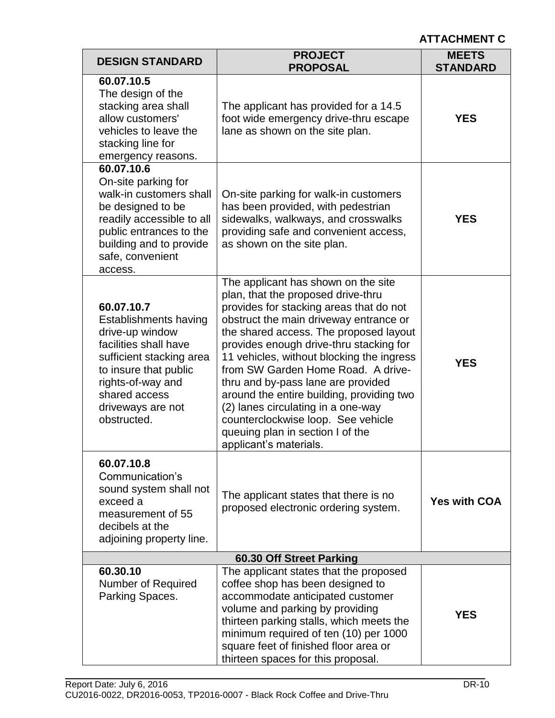| <b>DESIGN STANDARD</b>                                                                                                                                                                                                | <b>PROJECT</b><br><b>PROPOSAL</b>                                                                                                                                                                                                                                                                                                                                                                                                                                                                                                                                   | <b>MEETS</b><br><b>STANDARD</b> |  |  |
|-----------------------------------------------------------------------------------------------------------------------------------------------------------------------------------------------------------------------|---------------------------------------------------------------------------------------------------------------------------------------------------------------------------------------------------------------------------------------------------------------------------------------------------------------------------------------------------------------------------------------------------------------------------------------------------------------------------------------------------------------------------------------------------------------------|---------------------------------|--|--|
| 60.07.10.5<br>The design of the<br>stacking area shall<br>allow customers'<br>vehicles to leave the<br>stacking line for<br>emergency reasons.                                                                        | The applicant has provided for a 14.5<br>foot wide emergency drive-thru escape<br>lane as shown on the site plan.                                                                                                                                                                                                                                                                                                                                                                                                                                                   | <b>YES</b>                      |  |  |
| 60.07.10.6<br>On-site parking for<br>walk-in customers shall<br>be designed to be<br>readily accessible to all<br>public entrances to the<br>building and to provide<br>safe, convenient<br>access.                   | On-site parking for walk-in customers<br>has been provided, with pedestrian<br>sidewalks, walkways, and crosswalks<br>providing safe and convenient access,<br>as shown on the site plan.                                                                                                                                                                                                                                                                                                                                                                           | <b>YES</b>                      |  |  |
| 60.07.10.7<br><b>Establishments having</b><br>drive-up window<br>facilities shall have<br>sufficient stacking area<br>to insure that public<br>rights-of-way and<br>shared access<br>driveways are not<br>obstructed. | The applicant has shown on the site<br>plan, that the proposed drive-thru<br>provides for stacking areas that do not<br>obstruct the main driveway entrance or<br>the shared access. The proposed layout<br>provides enough drive-thru stacking for<br>11 vehicles, without blocking the ingress<br>from SW Garden Home Road. A drive-<br>thru and by-pass lane are provided<br>around the entire building, providing two<br>(2) lanes circulating in a one-way<br>counterclockwise loop. See vehicle<br>queuing plan in section I of the<br>applicant's materials. | <b>YES</b>                      |  |  |
| 60.07.10.8<br>Communication's<br>sound system shall not<br>exceed a<br>measurement of 55<br>decibels at the<br>adjoining property line.                                                                               | The applicant states that there is no<br>proposed electronic ordering system.                                                                                                                                                                                                                                                                                                                                                                                                                                                                                       | <b>Yes with COA</b>             |  |  |
| 60.30 Off Street Parking                                                                                                                                                                                              |                                                                                                                                                                                                                                                                                                                                                                                                                                                                                                                                                                     |                                 |  |  |
| 60.30.10<br><b>Number of Required</b><br>Parking Spaces.                                                                                                                                                              | The applicant states that the proposed<br>coffee shop has been designed to<br>accommodate anticipated customer<br>volume and parking by providing<br>thirteen parking stalls, which meets the<br>minimum required of ten (10) per 1000<br>square feet of finished floor area or<br>thirteen spaces for this proposal.                                                                                                                                                                                                                                               | <b>YES</b>                      |  |  |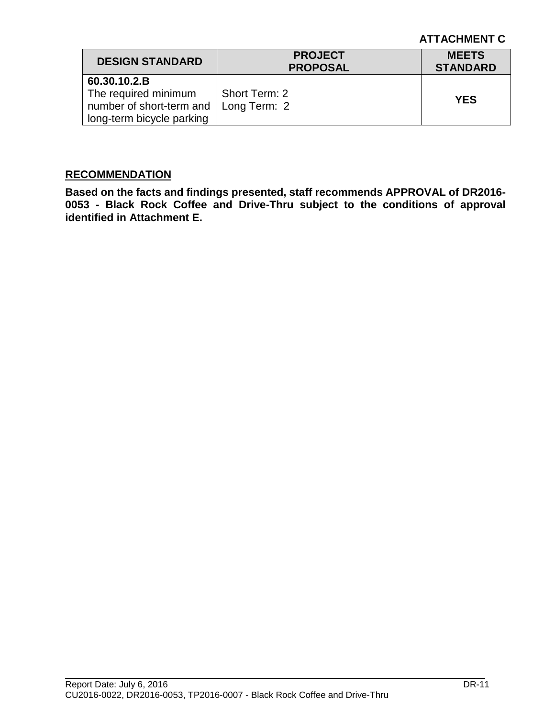| <b>DESIGN STANDARD</b>                                                                                    | <b>PROJECT</b><br><b>PROPOSAL</b> | <b>MEETS</b><br><b>STANDARD</b> |
|-----------------------------------------------------------------------------------------------------------|-----------------------------------|---------------------------------|
| 60.30.10.2.B<br>The required minimum<br>number of short-term and $\parallel$<br>long-term bicycle parking | Short Term: 2<br>Long Term: 2     | <b>YES</b>                      |

#### **RECOMMENDATION**

**Based on the facts and findings presented, staff recommends APPROVAL of DR2016- 0053 - Black Rock Coffee and Drive-Thru subject to the conditions of approval identified in Attachment E.**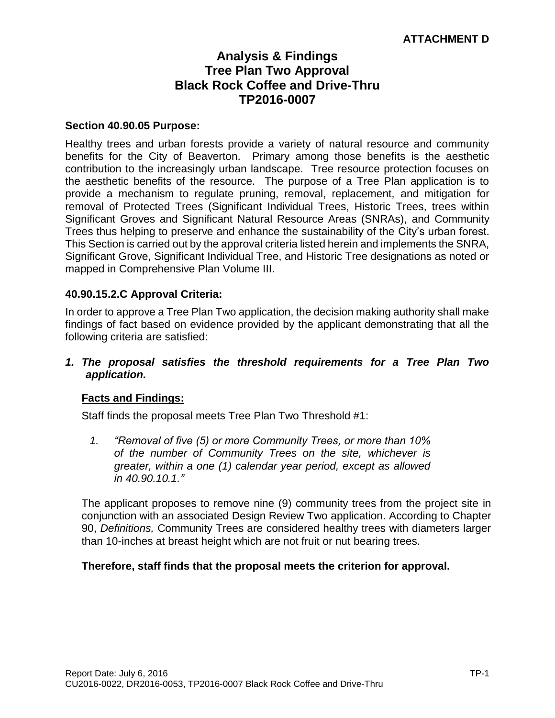# **Analysis & Findings Tree Plan Two Approval Black Rock Coffee and Drive-Thru TP2016-0007**

#### **Section 40.90.05 Purpose:**

Healthy trees and urban forests provide a variety of natural resource and community benefits for the City of Beaverton. Primary among those benefits is the aesthetic contribution to the increasingly urban landscape. Tree resource protection focuses on the aesthetic benefits of the resource. The purpose of a Tree Plan application is to provide a mechanism to regulate pruning, removal, replacement, and mitigation for removal of Protected Trees (Significant Individual Trees, Historic Trees, trees within Significant Groves and Significant Natural Resource Areas (SNRAs), and Community Trees thus helping to preserve and enhance the sustainability of the City's urban forest. This Section is carried out by the approval criteria listed herein and implements the SNRA, Significant Grove, Significant Individual Tree, and Historic Tree designations as noted or mapped in Comprehensive Plan Volume III.

#### **40.90.15.2.C Approval Criteria:**

In order to approve a Tree Plan Two application, the decision making authority shall make findings of fact based on evidence provided by the applicant demonstrating that all the following criteria are satisfied:

#### *1. The proposal satisfies the threshold requirements for a Tree Plan Two application.*

#### **Facts and Findings:**

Staff finds the proposal meets Tree Plan Two Threshold #1:

*1. "Removal of five (5) or more Community Trees, or more than 10% of the number of Community Trees on the site, whichever is greater, within a one (1) calendar year period, except as allowed in 40.90.10.1."* 

The applicant proposes to remove nine (9) community trees from the project site in conjunction with an associated Design Review Two application. According to Chapter 90, *Definitions,* Community Trees are considered healthy trees with diameters larger than 10-inches at breast height which are not fruit or nut bearing trees.

#### **Therefore, staff finds that the proposal meets the criterion for approval.**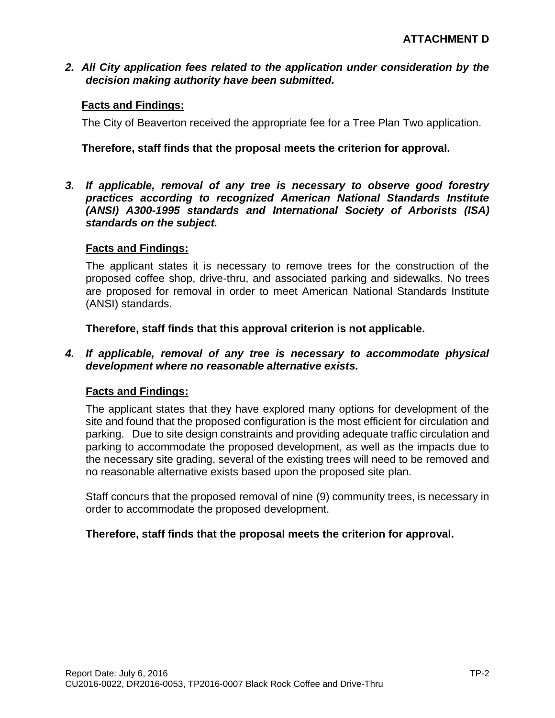*2. All City application fees related to the application under consideration by the decision making authority have been submitted.*

### **Facts and Findings:**

The City of Beaverton received the appropriate fee for a Tree Plan Two application.

### **Therefore, staff finds that the proposal meets the criterion for approval.**

*3. If applicable, removal of any tree is necessary to observe good forestry practices according to recognized American National Standards Institute (ANSI) A300-1995 standards and International Society of Arborists (ISA) standards on the subject.*

#### **Facts and Findings:**

The applicant states it is necessary to remove trees for the construction of the proposed coffee shop, drive-thru, and associated parking and sidewalks. No trees are proposed for removal in order to meet American National Standards Institute (ANSI) standards.

**Therefore, staff finds that this approval criterion is not applicable.**

#### *4. If applicable, removal of any tree is necessary to accommodate physical development where no reasonable alternative exists.*

#### **Facts and Findings:**

The applicant states that they have explored many options for development of the site and found that the proposed configuration is the most efficient for circulation and parking. Due to site design constraints and providing adequate traffic circulation and parking to accommodate the proposed development, as well as the impacts due to the necessary site grading, several of the existing trees will need to be removed and no reasonable alternative exists based upon the proposed site plan.

Staff concurs that the proposed removal of nine (9) community trees, is necessary in order to accommodate the proposed development.

#### **Therefore, staff finds that the proposal meets the criterion for approval.**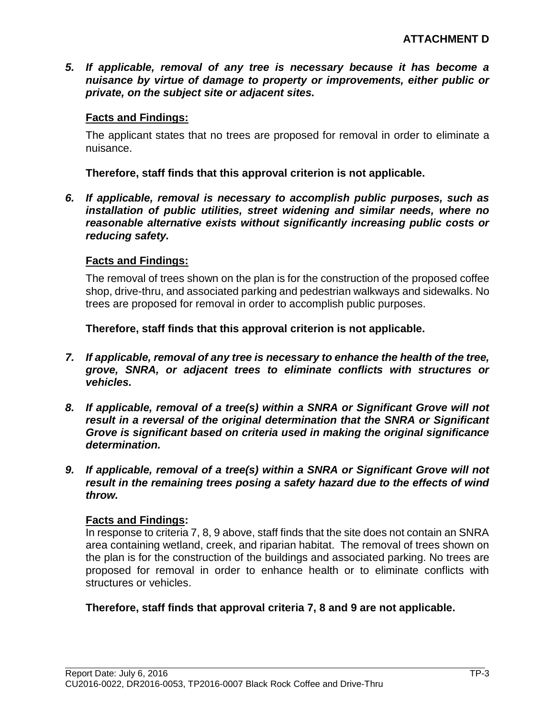*5. If applicable, removal of any tree is necessary because it has become a nuisance by virtue of damage to property or improvements, either public or private, on the subject site or adjacent sites.*

### **Facts and Findings:**

The applicant states that no trees are proposed for removal in order to eliminate a nuisance.

**Therefore, staff finds that this approval criterion is not applicable.**

*6. If applicable, removal is necessary to accomplish public purposes, such as installation of public utilities, street widening and similar needs, where no reasonable alternative exists without significantly increasing public costs or reducing safety.*

# **Facts and Findings:**

The removal of trees shown on the plan is for the construction of the proposed coffee shop, drive-thru, and associated parking and pedestrian walkways and sidewalks. No trees are proposed for removal in order to accomplish public purposes.

**Therefore, staff finds that this approval criterion is not applicable.**

- *7. If applicable, removal of any tree is necessary to enhance the health of the tree, grove, SNRA, or adjacent trees to eliminate conflicts with structures or vehicles.*
- *8. If applicable, removal of a tree(s) within a SNRA or Significant Grove will not result in a reversal of the original determination that the SNRA or Significant Grove is significant based on criteria used in making the original significance determination.*
- *9. If applicable, removal of a tree(s) within a SNRA or Significant Grove will not result in the remaining trees posing a safety hazard due to the effects of wind throw.*

# **Facts and Findings:**

In response to criteria 7, 8, 9 above, staff finds that the site does not contain an SNRA area containing wetland, creek, and riparian habitat. The removal of trees shown on the plan is for the construction of the buildings and associated parking. No trees are proposed for removal in order to enhance health or to eliminate conflicts with structures or vehicles.

# **Therefore, staff finds that approval criteria 7, 8 and 9 are not applicable.**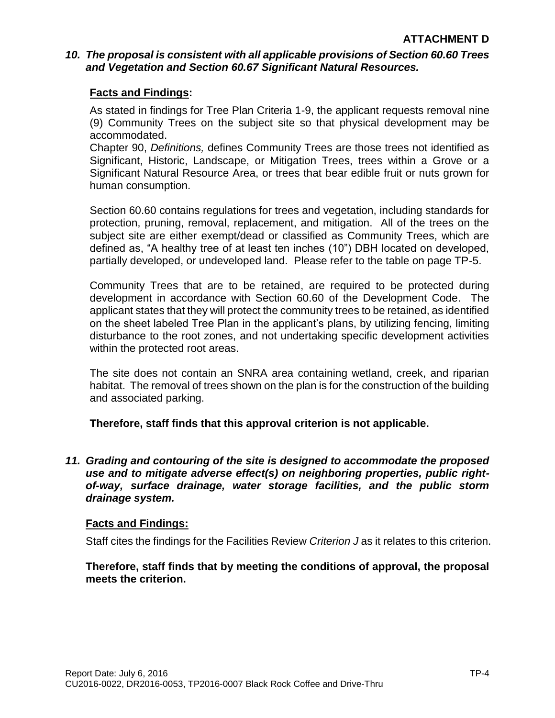# *10. The proposal is consistent with all applicable provisions of Section 60.60 Trees and Vegetation and Section 60.67 Significant Natural Resources.*

# **Facts and Findings:**

As stated in findings for Tree Plan Criteria 1-9, the applicant requests removal nine (9) Community Trees on the subject site so that physical development may be accommodated.

Chapter 90, *Definitions,* defines Community Trees are those trees not identified as Significant, Historic, Landscape, or Mitigation Trees, trees within a Grove or a Significant Natural Resource Area, or trees that bear edible fruit or nuts grown for human consumption.

Section 60.60 contains regulations for trees and vegetation, including standards for protection, pruning, removal, replacement, and mitigation. All of the trees on the subject site are either exempt/dead or classified as Community Trees, which are defined as, "A healthy tree of at least ten inches (10") DBH located on developed, partially developed, or undeveloped land. Please refer to the table on page TP-5.

Community Trees that are to be retained, are required to be protected during development in accordance with Section 60.60 of the Development Code. The applicant states that they will protect the community trees to be retained, as identified on the sheet labeled Tree Plan in the applicant's plans, by utilizing fencing, limiting disturbance to the root zones, and not undertaking specific development activities within the protected root areas.

The site does not contain an SNRA area containing wetland, creek, and riparian habitat. The removal of trees shown on the plan is for the construction of the building and associated parking.

**Therefore, staff finds that this approval criterion is not applicable.**

*11. Grading and contouring of the site is designed to accommodate the proposed use and to mitigate adverse effect(s) on neighboring properties, public rightof-way, surface drainage, water storage facilities, and the public storm drainage system.*

# **Facts and Findings:**

Staff cites the findings for the Facilities Review *Criterion J* as it relates to this criterion.

**Therefore, staff finds that by meeting the conditions of approval, the proposal meets the criterion.**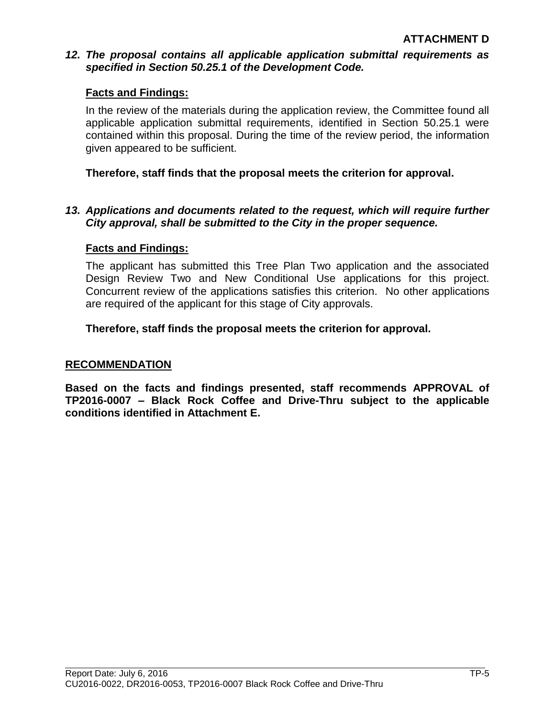# *12. The proposal contains all applicable application submittal requirements as specified in Section 50.25.1 of the Development Code.*

# **Facts and Findings:**

In the review of the materials during the application review, the Committee found all applicable application submittal requirements, identified in Section 50.25.1 were contained within this proposal. During the time of the review period, the information given appeared to be sufficient.

# **Therefore, staff finds that the proposal meets the criterion for approval.**

# *13. Applications and documents related to the request, which will require further City approval, shall be submitted to the City in the proper sequence.*

# **Facts and Findings:**

The applicant has submitted this Tree Plan Two application and the associated Design Review Two and New Conditional Use applications for this project. Concurrent review of the applications satisfies this criterion. No other applications are required of the applicant for this stage of City approvals.

# **Therefore, staff finds the proposal meets the criterion for approval.**

### **RECOMMENDATION**

**Based on the facts and findings presented, staff recommends APPROVAL of TP2016-0007 – Black Rock Coffee and Drive-Thru subject to the applicable conditions identified in Attachment E.**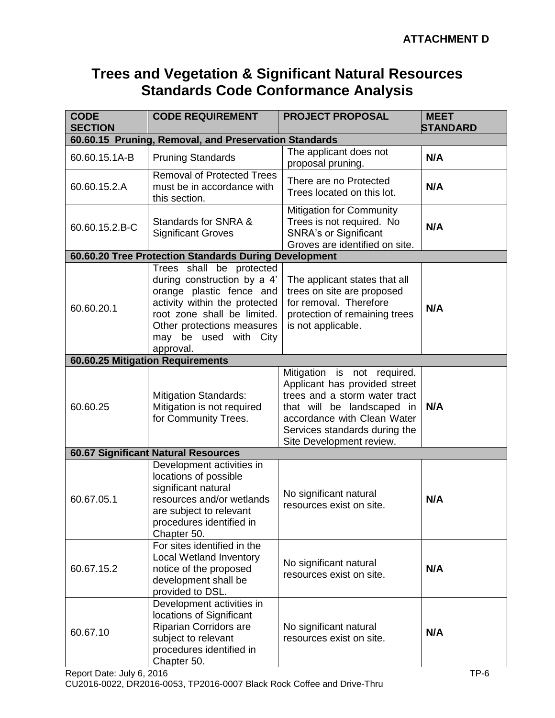# **Trees and Vegetation & Significant Natural Resources Standards Code Conformance Analysis**

| <b>CODE</b><br><b>SECTION</b>                         | <b>CODE REQUIREMENT</b>                                                                                                                                                                                                 | <b>PROJECT PROPOSAL</b>                                                                                                                                                                                                 | <b>MEET</b><br><b>STANDARD</b> |  |  |  |
|-------------------------------------------------------|-------------------------------------------------------------------------------------------------------------------------------------------------------------------------------------------------------------------------|-------------------------------------------------------------------------------------------------------------------------------------------------------------------------------------------------------------------------|--------------------------------|--|--|--|
| 60.60.15 Pruning, Removal, and Preservation Standards |                                                                                                                                                                                                                         |                                                                                                                                                                                                                         |                                |  |  |  |
| 60.60.15.1A-B                                         | <b>Pruning Standards</b>                                                                                                                                                                                                | The applicant does not<br>proposal pruning.                                                                                                                                                                             | N/A                            |  |  |  |
| 60.60.15.2.A                                          | <b>Removal of Protected Trees</b><br>must be in accordance with<br>this section.                                                                                                                                        | There are no Protected<br>Trees located on this lot.                                                                                                                                                                    | N/A                            |  |  |  |
| 60.60.15.2.B-C                                        | Standards for SNRA &<br><b>Significant Groves</b>                                                                                                                                                                       | <b>Mitigation for Community</b><br>Trees is not required. No<br><b>SNRA's or Significant</b><br>Groves are identified on site.                                                                                          | N/A                            |  |  |  |
|                                                       | 60.60.20 Tree Protection Standards During Development                                                                                                                                                                   |                                                                                                                                                                                                                         |                                |  |  |  |
| 60.60.20.1                                            | Trees shall be protected<br>during construction by a 4'<br>orange plastic fence and<br>activity within the protected<br>root zone shall be limited.<br>Other protections measures<br>may be used with City<br>approval. | The applicant states that all<br>trees on site are proposed<br>for removal. Therefore<br>protection of remaining trees<br>is not applicable.                                                                            | N/A                            |  |  |  |
|                                                       | 60.60.25 Mitigation Requirements                                                                                                                                                                                        |                                                                                                                                                                                                                         |                                |  |  |  |
| 60.60.25                                              | <b>Mitigation Standards:</b><br>Mitigation is not required<br>for Community Trees.                                                                                                                                      | Mitigation is not required.<br>Applicant has provided street<br>trees and a storm water tract<br>that will be landscaped in<br>accordance with Clean Water<br>Services standards during the<br>Site Development review. | N/A                            |  |  |  |
| <b>60.67 Significant Natural Resources</b>            |                                                                                                                                                                                                                         |                                                                                                                                                                                                                         |                                |  |  |  |
| 60.67.05.1                                            | Development activities in<br>locations of possible<br>significant natural<br>resources and/or wetlands<br>are subject to relevant<br>procedures identified in<br>Chapter 50.                                            | No significant natural<br>resources exist on site.                                                                                                                                                                      | N/A                            |  |  |  |
| 60.67.15.2                                            | For sites identified in the<br><b>Local Wetland Inventory</b><br>notice of the proposed<br>development shall be<br>provided to DSL.                                                                                     | No significant natural<br>resources exist on site.                                                                                                                                                                      | N/A                            |  |  |  |
| 60.67.10                                              | Development activities in<br>locations of Significant<br>Riparian Corridors are<br>subject to relevant<br>procedures identified in<br>Chapter 50.                                                                       | No significant natural<br>resources exist on site.                                                                                                                                                                      | N/A                            |  |  |  |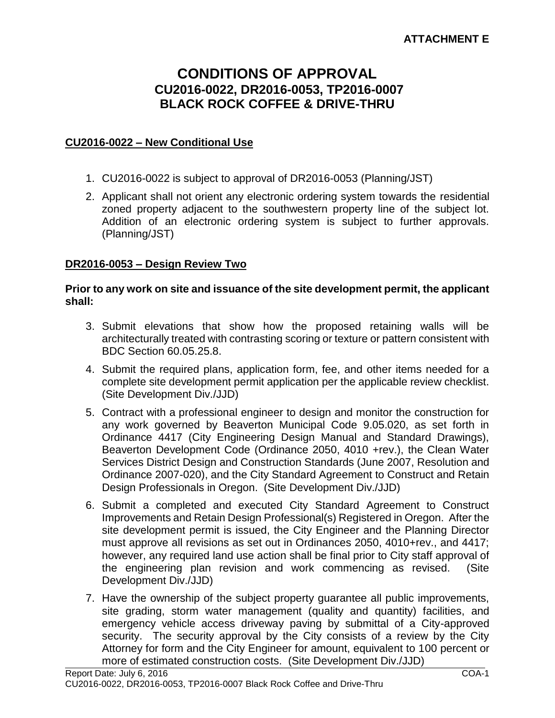# **CONDITIONS OF APPROVAL CU2016-0022, DR2016-0053, TP2016-0007 BLACK ROCK COFFEE & DRIVE-THRU**

# **CU2016-0022 – New Conditional Use**

- 1. CU2016-0022 is subject to approval of DR2016-0053 (Planning/JST)
- 2. Applicant shall not orient any electronic ordering system towards the residential zoned property adjacent to the southwestern property line of the subject lot. Addition of an electronic ordering system is subject to further approvals. (Planning/JST)

#### **DR2016-0053 – Design Review Two**

#### **Prior to any work on site and issuance of the site development permit, the applicant shall:**

- 3. Submit elevations that show how the proposed retaining walls will be architecturally treated with contrasting scoring or texture or pattern consistent with BDC Section 60.05.25.8.
- 4. Submit the required plans, application form, fee, and other items needed for a complete site development permit application per the applicable review checklist. (Site Development Div./JJD)
- 5. Contract with a professional engineer to design and monitor the construction for any work governed by Beaverton Municipal Code 9.05.020, as set forth in Ordinance 4417 (City Engineering Design Manual and Standard Drawings), Beaverton Development Code (Ordinance 2050, 4010 +rev.), the Clean Water Services District Design and Construction Standards (June 2007, Resolution and Ordinance 2007-020), and the City Standard Agreement to Construct and Retain Design Professionals in Oregon. (Site Development Div./JJD)
- 6. Submit a completed and executed City Standard Agreement to Construct Improvements and Retain Design Professional(s) Registered in Oregon. After the site development permit is issued, the City Engineer and the Planning Director must approve all revisions as set out in Ordinances 2050, 4010+rev., and 4417; however, any required land use action shall be final prior to City staff approval of the engineering plan revision and work commencing as revised. (Site Development Div./JJD)
- 7. Have the ownership of the subject property guarantee all public improvements, site grading, storm water management (quality and quantity) facilities, and emergency vehicle access driveway paving by submittal of a City-approved security. The security approval by the City consists of a review by the City Attorney for form and the City Engineer for amount, equivalent to 100 percent or more of estimated construction costs. (Site Development Div./JJD)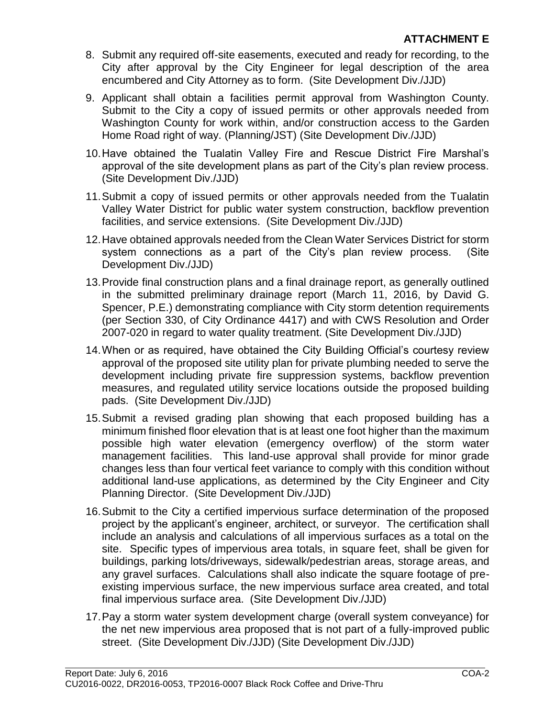- 8. Submit any required off-site easements, executed and ready for recording, to the City after approval by the City Engineer for legal description of the area encumbered and City Attorney as to form. (Site Development Div./JJD)
- 9. Applicant shall obtain a facilities permit approval from Washington County. Submit to the City a copy of issued permits or other approvals needed from Washington County for work within, and/or construction access to the Garden Home Road right of way. (Planning/JST) (Site Development Div./JJD)
- 10.Have obtained the Tualatin Valley Fire and Rescue District Fire Marshal's approval of the site development plans as part of the City's plan review process. (Site Development Div./JJD)
- 11.Submit a copy of issued permits or other approvals needed from the Tualatin Valley Water District for public water system construction, backflow prevention facilities, and service extensions. (Site Development Div./JJD)
- 12.Have obtained approvals needed from the Clean Water Services District for storm system connections as a part of the City's plan review process. (Site Development Div./JJD)
- 13.Provide final construction plans and a final drainage report, as generally outlined in the submitted preliminary drainage report (March 11, 2016, by David G. Spencer, P.E.) demonstrating compliance with City storm detention requirements (per Section 330, of City Ordinance 4417) and with CWS Resolution and Order 2007-020 in regard to water quality treatment. (Site Development Div./JJD)
- 14.When or as required, have obtained the City Building Official's courtesy review approval of the proposed site utility plan for private plumbing needed to serve the development including private fire suppression systems, backflow prevention measures, and regulated utility service locations outside the proposed building pads. (Site Development Div./JJD)
- 15.Submit a revised grading plan showing that each proposed building has a minimum finished floor elevation that is at least one foot higher than the maximum possible high water elevation (emergency overflow) of the storm water management facilities. This land-use approval shall provide for minor grade changes less than four vertical feet variance to comply with this condition without additional land-use applications, as determined by the City Engineer and City Planning Director. (Site Development Div./JJD)
- 16.Submit to the City a certified impervious surface determination of the proposed project by the applicant's engineer, architect, or surveyor. The certification shall include an analysis and calculations of all impervious surfaces as a total on the site. Specific types of impervious area totals, in square feet, shall be given for buildings, parking lots/driveways, sidewalk/pedestrian areas, storage areas, and any gravel surfaces. Calculations shall also indicate the square footage of preexisting impervious surface, the new impervious surface area created, and total final impervious surface area. (Site Development Div./JJD)
- 17.Pay a storm water system development charge (overall system conveyance) for the net new impervious area proposed that is not part of a fully-improved public street. (Site Development Div./JJD) (Site Development Div./JJD)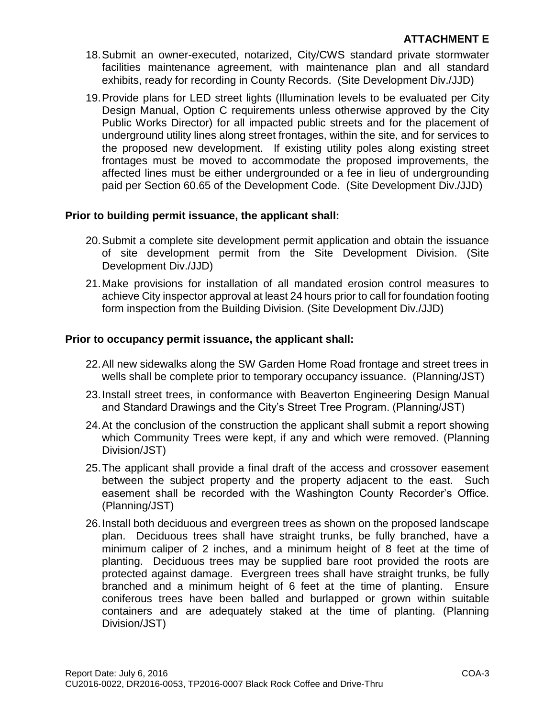- 18.Submit an owner-executed, notarized, City/CWS standard private stormwater facilities maintenance agreement, with maintenance plan and all standard exhibits, ready for recording in County Records. (Site Development Div./JJD)
- 19.Provide plans for LED street lights (Illumination levels to be evaluated per City Design Manual, Option C requirements unless otherwise approved by the City Public Works Director) for all impacted public streets and for the placement of underground utility lines along street frontages, within the site, and for services to the proposed new development. If existing utility poles along existing street frontages must be moved to accommodate the proposed improvements, the affected lines must be either undergrounded or a fee in lieu of undergrounding paid per Section 60.65 of the Development Code. (Site Development Div./JJD)

# **Prior to building permit issuance, the applicant shall:**

- 20.Submit a complete site development permit application and obtain the issuance of site development permit from the Site Development Division. (Site Development Div./JJD)
- 21.Make provisions for installation of all mandated erosion control measures to achieve City inspector approval at least 24 hours prior to call for foundation footing form inspection from the Building Division. (Site Development Div./JJD)

# **Prior to occupancy permit issuance, the applicant shall:**

- 22.All new sidewalks along the SW Garden Home Road frontage and street trees in wells shall be complete prior to temporary occupancy issuance. (Planning/JST)
- 23.Install street trees, in conformance with Beaverton Engineering Design Manual and Standard Drawings and the City's Street Tree Program. (Planning/JST)
- 24.At the conclusion of the construction the applicant shall submit a report showing which Community Trees were kept, if any and which were removed. (Planning Division/JST)
- 25.The applicant shall provide a final draft of the access and crossover easement between the subject property and the property adjacent to the east. Such easement shall be recorded with the Washington County Recorder's Office. (Planning/JST)
- 26.Install both deciduous and evergreen trees as shown on the proposed landscape plan. Deciduous trees shall have straight trunks, be fully branched, have a minimum caliper of 2 inches, and a minimum height of 8 feet at the time of planting. Deciduous trees may be supplied bare root provided the roots are protected against damage. Evergreen trees shall have straight trunks, be fully branched and a minimum height of 6 feet at the time of planting. Ensure coniferous trees have been balled and burlapped or grown within suitable containers and are adequately staked at the time of planting. (Planning Division/JST)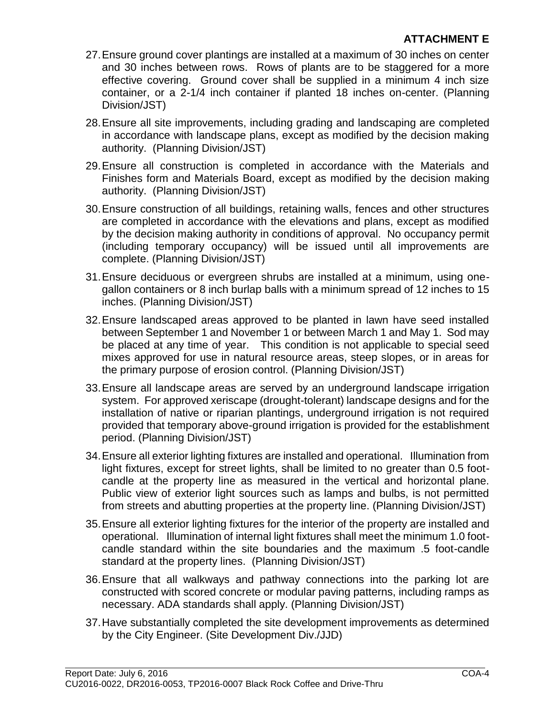- 27.Ensure ground cover plantings are installed at a maximum of 30 inches on center and 30 inches between rows. Rows of plants are to be staggered for a more effective covering. Ground cover shall be supplied in a minimum 4 inch size container, or a 2-1/4 inch container if planted 18 inches on-center. (Planning Division/JST)
- 28.Ensure all site improvements, including grading and landscaping are completed in accordance with landscape plans, except as modified by the decision making authority. (Planning Division/JST)
- 29.Ensure all construction is completed in accordance with the Materials and Finishes form and Materials Board, except as modified by the decision making authority. (Planning Division/JST)
- 30.Ensure construction of all buildings, retaining walls, fences and other structures are completed in accordance with the elevations and plans, except as modified by the decision making authority in conditions of approval. No occupancy permit (including temporary occupancy) will be issued until all improvements are complete. (Planning Division/JST)
- 31.Ensure deciduous or evergreen shrubs are installed at a minimum, using onegallon containers or 8 inch burlap balls with a minimum spread of 12 inches to 15 inches. (Planning Division/JST)
- 32.Ensure landscaped areas approved to be planted in lawn have seed installed between September 1 and November 1 or between March 1 and May 1. Sod may be placed at any time of year. This condition is not applicable to special seed mixes approved for use in natural resource areas, steep slopes, or in areas for the primary purpose of erosion control. (Planning Division/JST)
- 33.Ensure all landscape areas are served by an underground landscape irrigation system. For approved xeriscape (drought-tolerant) landscape designs and for the installation of native or riparian plantings, underground irrigation is not required provided that temporary above-ground irrigation is provided for the establishment period. (Planning Division/JST)
- 34.Ensure all exterior lighting fixtures are installed and operational. Illumination from light fixtures, except for street lights, shall be limited to no greater than 0.5 footcandle at the property line as measured in the vertical and horizontal plane. Public view of exterior light sources such as lamps and bulbs, is not permitted from streets and abutting properties at the property line. (Planning Division/JST)
- 35.Ensure all exterior lighting fixtures for the interior of the property are installed and operational. Illumination of internal light fixtures shall meet the minimum 1.0 footcandle standard within the site boundaries and the maximum .5 foot-candle standard at the property lines. (Planning Division/JST)
- 36.Ensure that all walkways and pathway connections into the parking lot are constructed with scored concrete or modular paving patterns, including ramps as necessary. ADA standards shall apply. (Planning Division/JST)
- 37.Have substantially completed the site development improvements as determined by the City Engineer. (Site Development Div./JJD)